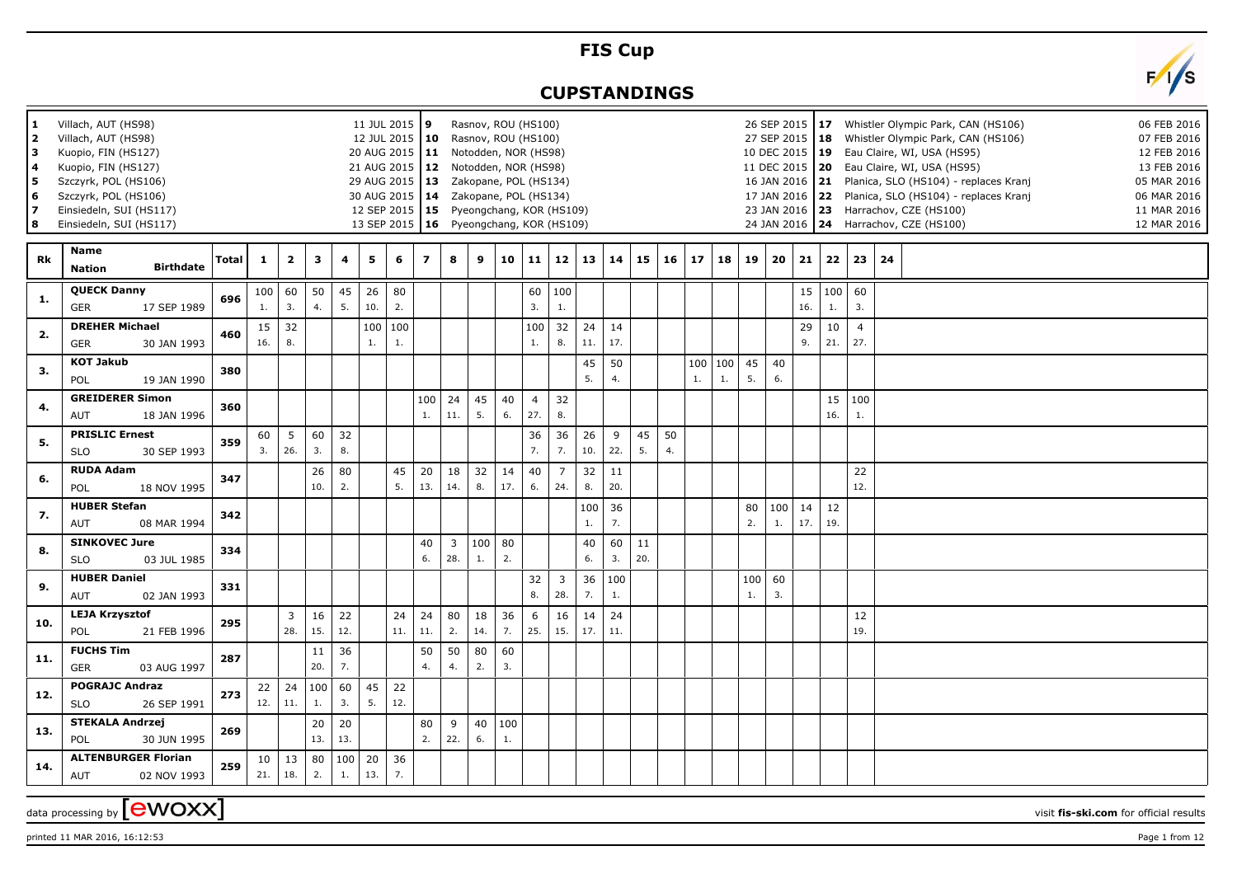## **FIS Cup**

## **CUPSTANDINGS**



| 1<br>2<br>3<br>4<br>5<br>6<br>7<br>8 | Villach, AUT (HS98)<br>Villach, AUT (HS98)<br>Kuopio, FIN (HS127)<br>Kuopio, FIN (HS127)<br>Szczyrk, POL (HS106)<br>Szczyrk, POL (HS106)<br>Einsiedeln, SUI (HS117)<br>Einsiedeln, SUI (HS117) |                                                                                                                                                                                                                               |              |              |                |           |           |           | 11 JUL 2015 9<br>12 JUL 2015   10<br>20 AUG 2015   11 Notodden, NOR (HS98)<br>21 AUG 2015   12 Notodden, NOR (HS98)<br>29 AUG 2015   13 Zakopane, POL (HS134)<br>30 AUG 2015   14 Zakopane, POL (HS134)<br>12 SEP 2015   15 Pyeongchang, KOR (HS109)<br>13 SEP 2015   16 Pyeongchang, KOR (HS109) |                         |           |           |           | Rasnov, ROU (HS100)<br>Rasnov, ROU (HS100) |                       |             |           |          |          |           |           |          | 26 SEP 2015<br>27 SEP 2015   18<br>10 DEC 2015   19 |           |           |                       | 17 Whistler Olympic Park, CAN (HS106)<br>Whistler Olympic Park, CAN (HS106)<br>Eau Claire, WI, USA (HS95)<br>11 DEC 2015   20   Eau Claire, WI, USA (HS95)<br>16 JAN 2016 21 Planica, SLO (HS104) - replaces Kranj<br>17 JAN 2016 22 Planica, SLO (HS104) - replaces Kranj<br>23 JAN 2016 23 Harrachov, CZE (HS100)<br>24 JAN 2016   24 Harrachov, CZE (HS100) |  | 06 FEB 2016<br>07 FEB 2016<br>12 FEB 2016<br>13 FEB 2016<br>05 MAR 2016<br>06 MAR 2016<br>11 MAR 2016<br>12 MAR 2016 |
|--------------------------------------|------------------------------------------------------------------------------------------------------------------------------------------------------------------------------------------------|-------------------------------------------------------------------------------------------------------------------------------------------------------------------------------------------------------------------------------|--------------|--------------|----------------|-----------|-----------|-----------|---------------------------------------------------------------------------------------------------------------------------------------------------------------------------------------------------------------------------------------------------------------------------------------------------|-------------------------|-----------|-----------|-----------|--------------------------------------------|-----------------------|-------------|-----------|----------|----------|-----------|-----------|----------|-----------------------------------------------------|-----------|-----------|-----------------------|----------------------------------------------------------------------------------------------------------------------------------------------------------------------------------------------------------------------------------------------------------------------------------------------------------------------------------------------------------------|--|----------------------------------------------------------------------------------------------------------------------|
| Rk                                   | Name<br><b>Nation</b>                                                                                                                                                                          | <b>Birthdate</b>                                                                                                                                                                                                              | <b>Total</b> | $\mathbf{1}$ | $\overline{2}$ | 3         | 4         | 5         | 6                                                                                                                                                                                                                                                                                                 | $\overline{\mathbf{z}}$ | 8         | 9         | 10        | 11                                         | 12                    | 13          | 14        | 15       | 16       | 17        | 18        | 19       | 20                                                  | 21        | 22        | 23                    | 24                                                                                                                                                                                                                                                                                                                                                             |  |                                                                                                                      |
| 1.                                   | <b>QUECK Danny</b><br>GER                                                                                                                                                                      | 17 SEP 1989                                                                                                                                                                                                                   | 696          | 100<br>1.    | 60<br>3.       | 50<br>4.  | 45<br>5.  | 26<br>10. | 80<br>2.                                                                                                                                                                                                                                                                                          |                         |           |           |           | 60<br>3.                                   | 100<br>1.             |             |           |          |          |           |           |          |                                                     | 15<br>16. | 100<br>1. | 60<br>3.              |                                                                                                                                                                                                                                                                                                                                                                |  |                                                                                                                      |
| 2.                                   | <b>DREHER Michael</b><br>GER                                                                                                                                                                   | 30 JAN 1993                                                                                                                                                                                                                   | 460          | 15<br>16.    | 32<br>8.       |           |           | 1.        | 100   100<br>$1.$                                                                                                                                                                                                                                                                                 |                         |           |           |           | 100<br>1.                                  | 32<br>8.              | 24<br>11.   | 14<br>17. |          |          |           |           |          |                                                     | 29<br>9.  | 10<br>21. | $\overline{4}$<br>27. |                                                                                                                                                                                                                                                                                                                                                                |  |                                                                                                                      |
| 3.                                   | <b>KOT Jakub</b><br>POL                                                                                                                                                                        | 19 JAN 1990                                                                                                                                                                                                                   | 380          |              |                |           |           |           |                                                                                                                                                                                                                                                                                                   |                         |           |           |           |                                            |                       | 45<br>5.    | 50<br>4.  |          |          | 100<br>1. | 100<br>1. | 45<br>5. | 40<br>6.                                            |           |           |                       |                                                                                                                                                                                                                                                                                                                                                                |  |                                                                                                                      |
| 4.                                   | <b>GREIDERER Simon</b><br>AUT                                                                                                                                                                  | 18 JAN 1996                                                                                                                                                                                                                   | 360          |              |                |           |           |           |                                                                                                                                                                                                                                                                                                   | 100<br>1.               | 24<br>11. | 45<br>5.  | 40<br>6.  | $\overline{4}$<br>27.                      | 32<br>8.              |             |           |          |          |           |           |          |                                                     |           | 15<br>16. | 100<br>1.             |                                                                                                                                                                                                                                                                                                                                                                |  |                                                                                                                      |
| 5.                                   | <b>PRISLIC Ernest</b><br><b>SLO</b>                                                                                                                                                            | 30 SEP 1993                                                                                                                                                                                                                   | 359          | 60<br>3.     | 5<br>26.       | 60<br>3.  | 32<br>8.  |           |                                                                                                                                                                                                                                                                                                   |                         |           |           |           | 36<br>7.                                   | 36<br>7.              | 26<br>10.   | 9<br>22.  | 45<br>5. | 50<br>4. |           |           |          |                                                     |           |           |                       |                                                                                                                                                                                                                                                                                                                                                                |  |                                                                                                                      |
| 6.                                   | <b>RUDA Adam</b><br>POL                                                                                                                                                                        | 18 NOV 1995                                                                                                                                                                                                                   | 347          |              |                | 26<br>10. | 80<br>2.  |           | 45<br>5.                                                                                                                                                                                                                                                                                          | 20<br>13.               | 18<br>14. | 32<br>8.  | 14<br>17. | 40<br>6.                                   | $\overline{7}$<br>24. | 32<br>8.    | 11<br>20. |          |          |           |           |          |                                                     |           |           | 22<br>12.             |                                                                                                                                                                                                                                                                                                                                                                |  |                                                                                                                      |
| 7.                                   | <b>HUBER Stefan</b><br>AUT                                                                                                                                                                     | 08 MAR 1994                                                                                                                                                                                                                   | 342          |              |                |           |           |           |                                                                                                                                                                                                                                                                                                   |                         |           |           |           |                                            |                       | 100<br>$1.$ | 36<br>7.  |          |          |           |           | 80<br>2. | 100<br>$1.$                                         | 14<br>17. | 12<br>19. |                       |                                                                                                                                                                                                                                                                                                                                                                |  |                                                                                                                      |
| 8.                                   | <b>SLO</b>                                                                                                                                                                                     | <b>SINKOVEC Jure</b><br>60<br>$\overline{3}$<br>100<br>80<br>40<br>11<br>40<br>334<br>6.<br>28.<br>1.<br>2.<br>3.<br>20.<br>03 JUL 1985<br>6.<br><b>HUBER Daniel</b><br>32<br>$\overline{3}$<br>36<br>100<br>60<br>100<br>331 |              |              |                |           |           |           |                                                                                                                                                                                                                                                                                                   |                         |           |           |           |                                            |                       |             |           |          |          |           |           |          |                                                     |           |           |                       |                                                                                                                                                                                                                                                                                                                                                                |  |                                                                                                                      |
| 9.                                   | AUT                                                                                                                                                                                            | 28.<br>7.<br>8.<br>1.<br>3.<br>02 JAN 1993<br>1.                                                                                                                                                                              |              |              |                |           |           |           |                                                                                                                                                                                                                                                                                                   |                         |           |           |           |                                            |                       |             |           |          |          |           |           |          |                                                     |           |           |                       |                                                                                                                                                                                                                                                                                                                                                                |  |                                                                                                                      |
| 10.                                  | <b>LEJA Krzysztof</b><br>POL                                                                                                                                                                   | 21 FEB 1996                                                                                                                                                                                                                   | 295          |              | 3<br>28.       | 16<br>15. | 22<br>12. |           | 24<br>11.                                                                                                                                                                                                                                                                                         | 24<br>11.               | 80<br>2.  | 18<br>14. | 36<br>7.  | 6<br>25.                                   | 16<br>15.             | 14<br>17.   | 24<br>11. |          |          |           |           |          |                                                     |           |           | 12<br>19.             |                                                                                                                                                                                                                                                                                                                                                                |  |                                                                                                                      |
| 11.                                  | <b>FUCHS Tim</b><br><b>GER</b>                                                                                                                                                                 | 03 AUG 1997                                                                                                                                                                                                                   | 287          |              |                | 11<br>20. | 36<br>7.  |           |                                                                                                                                                                                                                                                                                                   | 50<br>4.                | 50<br>4.  | 80<br>2.  | 60<br>3.  |                                            |                       |             |           |          |          |           |           |          |                                                     |           |           |                       |                                                                                                                                                                                                                                                                                                                                                                |  |                                                                                                                      |
| 12.                                  | <b>POGRAJC Andraz</b><br><b>SLO</b>                                                                                                                                                            | 26 SEP 1991                                                                                                                                                                                                                   | 273          | 22<br>12.    | 24<br>11.      | 100<br>1. | 60<br>3.  | 45<br>5.  | 22<br>12.                                                                                                                                                                                                                                                                                         |                         |           |           |           |                                            |                       |             |           |          |          |           |           |          |                                                     |           |           |                       |                                                                                                                                                                                                                                                                                                                                                                |  |                                                                                                                      |
| 13.                                  | <b>STEKALA Andrzej</b><br>POL                                                                                                                                                                  | 30 JUN 1995                                                                                                                                                                                                                   | 269          |              |                | 20<br>13. | 20<br>13. |           |                                                                                                                                                                                                                                                                                                   | 80<br>2.                | 9<br>22.  | 40<br>6.  | 100<br>1. |                                            |                       |             |           |          |          |           |           |          |                                                     |           |           |                       |                                                                                                                                                                                                                                                                                                                                                                |  |                                                                                                                      |
| 14.                                  | <b>ALTENBURGER Florian</b><br>AUT                                                                                                                                                              | 02 NOV 1993                                                                                                                                                                                                                   | 259          | 10<br>21.    | 13<br>18.      | 80<br>2.  | 100<br>1. | 20<br>13. | 36<br>7.                                                                                                                                                                                                                                                                                          |                         |           |           |           |                                            |                       |             |           |          |          |           |           |          |                                                     |           |           |                       |                                                                                                                                                                                                                                                                                                                                                                |  |                                                                                                                      |
|                                      |                                                                                                                                                                                                | data processing by <b>[CWOXX]</b>                                                                                                                                                                                             |              |              |                |           |           |           |                                                                                                                                                                                                                                                                                                   |                         |           |           |           |                                            |                       |             |           |          |          |           |           |          |                                                     |           |           |                       |                                                                                                                                                                                                                                                                                                                                                                |  | visit fis-ski.com for official results                                                                               |

printed 11 MAR 2016, 16:12:53 Page 1 from 12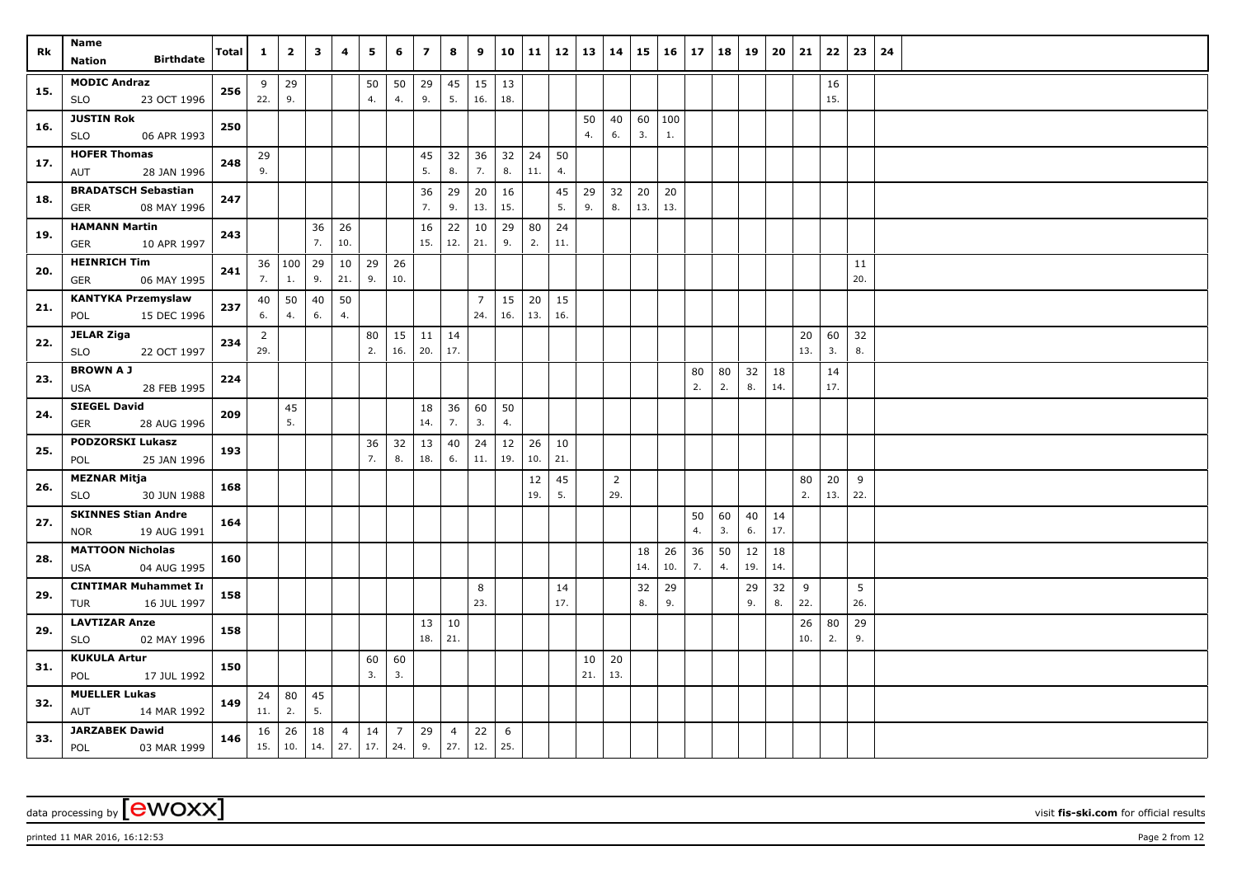| Rk  | Name<br><b>Birthdate</b><br><b>Nation</b>               | <b>Total</b> | $\mathbf{1}$          | $\mathbf{2}$ | 3         | 4                     | 5         | 6                     | $\overline{z}$ | 8                     | 9                     | 10        | 11        | 12        | 13        | 14                    | 15             | 16        | 17       | 18       | 19        | 20        | 21        | 22        | 23        | 24 |
|-----|---------------------------------------------------------|--------------|-----------------------|--------------|-----------|-----------------------|-----------|-----------------------|----------------|-----------------------|-----------------------|-----------|-----------|-----------|-----------|-----------------------|----------------|-----------|----------|----------|-----------|-----------|-----------|-----------|-----------|----|
| 15. | <b>MODIC Andraz</b><br>23 OCT 1996<br><b>SLO</b>        | 256          | 9<br>22.              | 29<br>9.     |           |                       | 50<br>4.  | 50<br>4.              | 29<br>9.       | 45<br>5.              | 15<br>16.             | 13<br>18. |           |           |           |                       |                |           |          |          |           |           |           | 16<br>15. |           |    |
| 16. | <b>JUSTIN Rok</b><br>06 APR 1993<br><b>SLO</b>          | 250          |                       |              |           |                       |           |                       |                |                       |                       |           |           |           | 50<br>4.  | 40<br>6.              | 60   100<br>3. | $1.$      |          |          |           |           |           |           |           |    |
| 17. | <b>HOFER Thomas</b><br>28 JAN 1996<br>AUT               | 248          | 29<br>9.              |              |           |                       |           |                       | 45<br>5.       | 32<br>8.              | 36<br>7.              | 32<br>8.  | 24<br>11. | 50<br>4.  |           |                       |                |           |          |          |           |           |           |           |           |    |
| 18. | <b>BRADATSCH Sebastian</b><br>08 MAY 1996<br><b>GER</b> | 247          |                       |              |           |                       |           |                       | 36<br>7.       | 29<br>9.              | 20<br>13.             | 16<br>15. |           | 45<br>5.  | 29<br>9.  | 32<br>8.              | 20<br>13.      | 20<br>13. |          |          |           |           |           |           |           |    |
| 19. | <b>HAMANN Martin</b><br>10 APR 1997<br><b>GER</b>       | 243          |                       |              | 36<br>7.  | 26<br>10.             |           |                       | 16<br>15.      | 22<br>12.             | 10<br>21.             | 29<br>9.  | 80<br>2.  | 24<br>11. |           |                       |                |           |          |          |           |           |           |           |           |    |
| 20. | <b>HEINRICH Tim</b><br>06 MAY 1995<br><b>GER</b>        | 241          | 7.                    | 36 100<br>1. | 29<br>9.  | 10<br>21.             | 29<br>9.  | 26<br>10.             |                |                       |                       |           |           |           |           |                       |                |           |          |          |           |           |           |           | 11<br>20. |    |
| 21. | <b>KANTYKA Przemyslaw</b><br>15 DEC 1996<br>POL         | 237          | 40<br>6.              | 50<br>4.     | 40<br>6.  | 50<br>4.              |           |                       |                |                       | $\overline{7}$<br>24. | 15<br>16. | 20<br>13. | 15<br>16. |           |                       |                |           |          |          |           |           |           |           |           |    |
| 22. | <b>JELAR Ziga</b><br><b>SLO</b><br>22 OCT 1997          | 234          | $\overline{2}$<br>29. |              |           |                       | 80<br>2.  | 15<br>16.             | 11<br>20.      | 14<br>17.             |                       |           |           |           |           |                       |                |           |          |          |           |           | 20<br>13. | 60<br>3.  | 32<br>8.  |    |
| 23. | <b>BROWN A J</b><br>28 FEB 1995<br>USA                  | 224          |                       |              |           |                       |           |                       |                |                       |                       |           |           |           |           |                       |                |           | 80<br>2. | 80<br>2. | 32<br>8.  | 18<br>14. |           | 14<br>17. |           |    |
| 24. | <b>SIEGEL David</b><br>GER<br>28 AUG 1996               | 209          |                       | 45<br>5.     |           |                       |           |                       | 18<br>14.      | 36<br>7.              | 60<br>3.              | 50<br>4.  |           |           |           |                       |                |           |          |          |           |           |           |           |           |    |
| 25. | <b>PODZORSKI Lukasz</b><br>25 JAN 1996<br>POL           | 193          |                       |              |           |                       | 36<br>7.  | 32<br>8.              | 13<br>18.      | 40<br>6.              | 24<br>$11.$           | 12<br>19. | 26<br>10. | 10<br>21. |           |                       |                |           |          |          |           |           |           |           |           |    |
| 26. | <b>MEZNAR Mitja</b><br>30 JUN 1988<br><b>SLO</b>        | 168          |                       |              |           |                       |           |                       |                |                       |                       |           | 12<br>19. | 45<br>5.  |           | $\overline{2}$<br>29. |                |           |          |          |           |           | 80<br>2.  | 20<br>13. | 9<br>22.  |    |
| 27. | <b>SKINNES Stian Andre</b><br>19 AUG 1991<br><b>NOR</b> | 164          |                       |              |           |                       |           |                       |                |                       |                       |           |           |           |           |                       |                |           | 50<br>4. | 60<br>3. | 40<br>6.  | 14<br>17. |           |           |           |    |
| 28. | <b>MATTOON Nicholas</b><br>04 AUG 1995<br><b>USA</b>    | 160          |                       |              |           |                       |           |                       |                |                       |                       |           |           |           |           |                       | 18<br>14.      | 26<br>10. | 36<br>7. | 50<br>4. | 12<br>19. | 18<br>14. |           |           |           |    |
| 29. | <b>CINTIMAR Muhammet In</b><br>16 JUL 1997<br>TUR       | 158          |                       |              |           |                       |           |                       |                |                       | 8<br>23.              |           |           | 14<br>17. |           |                       | 32<br>8.       | 29<br>9.  |          |          | 29<br>9.  | 32<br>8.  | 9<br>22.  |           | 5<br>26.  |    |
| 29. | <b>LAVTIZAR Anze</b><br>02 MAY 1996<br>SLO              | 158          |                       |              |           |                       |           |                       | 13<br>18.      | 10<br>21.             |                       |           |           |           |           |                       |                |           |          |          |           |           | 26<br>10. | 80<br>2.  | 29<br>9.  |    |
| 31. | <b>KUKULA Artur</b><br>POL<br>17 JUL 1992               | 150          |                       |              |           |                       | 60<br>3.  | 60<br>3.              |                |                       |                       |           |           |           | 10<br>21. | 20<br>13.             |                |           |          |          |           |           |           |           |           |    |
| 32. | <b>MUELLER Lukas</b><br>AUT<br>14 MAR 1992              | 149          | 24<br>11.             | 80<br>2.     | 45<br>5.  |                       |           |                       |                |                       |                       |           |           |           |           |                       |                |           |          |          |           |           |           |           |           |    |
| 33. | <b>JARZABEK Dawid</b><br>POL<br>03 MAR 1999             | 146          | 16<br>15.             | 26<br>10.    | 18<br>14. | $\overline{4}$<br>27. | 14<br>17. | $\overline{7}$<br>24. | 29<br>9.       | $\overline{4}$<br>27. | 22<br>12.             | 6<br>25.  |           |           |           |                       |                |           |          |          |           |           |           |           |           |    |

printed 11 MAR 2016, 16:12:53 Page 2 from 12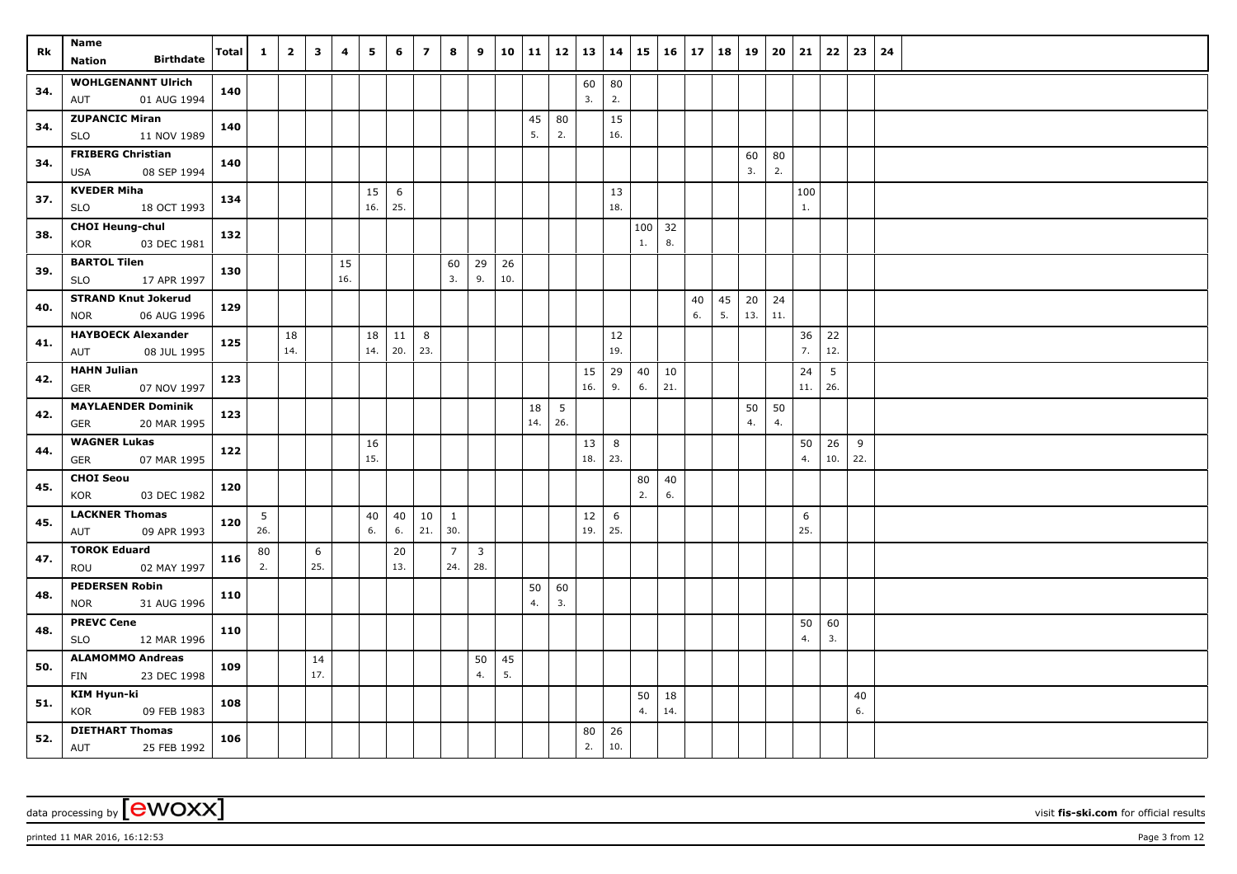| Rk  | Name                                         | Total | $\mathbf{1}$ | $\overline{2}$ | $\overline{\mathbf{3}}$ | 4         | 5        | 6         | $\overline{ }$ | 8                     | 9                     |     | $10 \mid 11$ | 12  | 13  | 14         | 15             | $16 \mid 17$ |    | 18 | 19  | 20  | 21       | 22  | 23  | 24 |
|-----|----------------------------------------------|-------|--------------|----------------|-------------------------|-----------|----------|-----------|----------------|-----------------------|-----------------------|-----|--------------|-----|-----|------------|----------------|--------------|----|----|-----|-----|----------|-----|-----|----|
|     | <b>Birthdate</b><br>Nation                   |       |              |                |                         |           |          |           |                |                       |                       |     |              |     |     |            |                |              |    |    |     |     |          |     |     |    |
| 34. | <b>WOHLGENANNT Ulrich</b>                    | 140   |              |                |                         |           |          |           |                |                       |                       |     |              |     | 60  | ${\bf 80}$ |                |              |    |    |     |     |          |     |     |    |
|     | 01 AUG 1994<br>AUT                           |       |              |                |                         |           |          |           |                |                       |                       |     |              |     | 3.  | 2.         |                |              |    |    |     |     |          |     |     |    |
| 34. | <b>ZUPANCIC Miran</b>                        | 140   |              |                |                         |           |          |           |                |                       |                       |     | 45           | 80  |     | 15         |                |              |    |    |     |     |          |     |     |    |
|     | 11 NOV 1989<br>SLO                           |       |              |                |                         |           |          |           |                |                       |                       |     | 5.           | 2.  |     | 16.        |                |              |    |    |     |     |          |     |     |    |
| 34. | <b>FRIBERG Christian</b>                     | 140   |              |                |                         |           |          |           |                |                       |                       |     |              |     |     |            |                |              |    |    | 60  | 80  |          |     |     |    |
|     | 08 SEP 1994<br><b>USA</b>                    |       |              |                |                         |           |          |           |                |                       |                       |     |              |     |     |            |                |              |    |    | 3.  | 2.  |          |     |     |    |
| 37. | <b>KVEDER Miha</b>                           | 134   |              |                |                         |           | 15       | 6         |                |                       |                       |     |              |     |     | 13         |                |              |    |    |     |     | 100      |     |     |    |
|     | 18 OCT 1993<br>SLO                           |       |              |                |                         |           | 16.      | 25.       |                |                       |                       |     |              |     |     | 18.        |                |              |    |    |     |     | 1.       |     |     |    |
| 38. | <b>CHOI Heung-chul</b><br>KOR<br>03 DEC 1981 | 132   |              |                |                         |           |          |           |                |                       |                       |     |              |     |     |            | $100$ 32<br>1. | 8.           |    |    |     |     |          |     |     |    |
|     | <b>BARTOL Tilen</b>                          |       |              |                |                         |           |          |           |                |                       |                       | 26  |              |     |     |            |                |              |    |    |     |     |          |     |     |    |
| 39. | 17 APR 1997<br><b>SLO</b>                    | 130   |              |                |                         | 15<br>16. |          |           |                | 60<br>3.              | 29<br>9.              | 10. |              |     |     |            |                |              |    |    |     |     |          |     |     |    |
|     | <b>STRAND Knut Jokerud</b>                   |       |              |                |                         |           |          |           |                |                       |                       |     |              |     |     |            |                |              | 40 | 45 | 20  | 24  |          |     |     |    |
| 40. | 06 AUG 1996<br><b>NOR</b>                    | 129   |              |                |                         |           |          |           |                |                       |                       |     |              |     |     |            |                |              | 6. | 5. | 13. | 11. |          |     |     |    |
|     | <b>HAYBOECK Alexander</b>                    |       |              | 18             |                         |           | 18       | 11        | 8              |                       |                       |     |              |     |     | 12         |                |              |    |    |     |     | 36       | 22  |     |    |
| 41. | 08 JUL 1995<br>AUT                           | 125   |              | 14.            |                         |           | 14.      | 20.       | 23.            |                       |                       |     |              |     |     | 19.        |                |              |    |    |     |     | 7.       | 12. |     |    |
|     | <b>HAHN Julian</b>                           |       |              |                |                         |           |          |           |                |                       |                       |     |              |     | 15  | 29         | 40             | 10           |    |    |     |     | 24       | 5   |     |    |
| 42. | <b>GER</b><br>07 NOV 1997                    | 123   |              |                |                         |           |          |           |                |                       |                       |     |              |     | 16. | 9.         | 6.             | 21.          |    |    |     |     | 11.      | 26. |     |    |
| 42. | <b>MAYLAENDER Dominik</b>                    | 123   |              |                |                         |           |          |           |                |                       |                       |     | 18           | 5   |     |            |                |              |    |    | 50  | 50  |          |     |     |    |
|     | <b>GER</b><br>20 MAR 1995                    |       |              |                |                         |           |          |           |                |                       |                       |     | 14.          | 26. |     |            |                |              |    |    | 4.  | 4.  |          |     |     |    |
| 44. | <b>WAGNER Lukas</b>                          | 122   |              |                |                         |           | 16       |           |                |                       |                       |     |              |     | 13  | 8          |                |              |    |    |     |     | 50       | 26  | 9   |    |
|     | 07 MAR 1995<br>GER                           |       |              |                |                         |           | 15.      |           |                |                       |                       |     |              |     | 18. | 23.        |                |              |    |    |     |     | 4.       | 10. | 22. |    |
| 45. | <b>CHOI Seou</b>                             | 120   |              |                |                         |           |          |           |                |                       |                       |     |              |     |     |            | 80             | 40           |    |    |     |     |          |     |     |    |
|     | KOR<br>03 DEC 1982                           |       |              |                |                         |           |          |           |                |                       |                       |     |              |     |     |            | 2.             | 6.           |    |    |     |     |          |     |     |    |
| 45. | <b>LACKNER Thomas</b>                        | 120   | 5            |                |                         |           | 40<br>6. | 40        | 10             | 1                     |                       |     |              |     | 12  | 6          |                |              |    |    |     |     | 6<br>25. |     |     |    |
|     | 09 APR 1993<br>AUT                           |       | 26.          |                |                         |           |          | 6.        | 21.            | 30.                   |                       |     |              |     | 19. | 25.        |                |              |    |    |     |     |          |     |     |    |
| 47. | <b>TOROK Eduard</b><br>02 MAY 1997<br>ROU    | 116   | 80<br>2.     |                | 6<br>25.                |           |          | 20<br>13. |                | $\overline{7}$<br>24. | $\overline{3}$<br>28. |     |              |     |     |            |                |              |    |    |     |     |          |     |     |    |
|     | <b>PEDERSEN Robin</b>                        |       |              |                |                         |           |          |           |                |                       |                       |     | 50           | 60  |     |            |                |              |    |    |     |     |          |     |     |    |
| 48. | 31 AUG 1996<br><b>NOR</b>                    | 110   |              |                |                         |           |          |           |                |                       |                       |     | 4.           | 3.  |     |            |                |              |    |    |     |     |          |     |     |    |
|     | <b>PREVC Cene</b>                            |       |              |                |                         |           |          |           |                |                       |                       |     |              |     |     |            |                |              |    |    |     |     | 50       | 60  |     |    |
| 48. | 12 MAR 1996<br><b>SLO</b>                    | 110   |              |                |                         |           |          |           |                |                       |                       |     |              |     |     |            |                |              |    |    |     |     | 4.       | 3.  |     |    |
|     | <b>ALAMOMMO Andreas</b>                      |       |              |                | 14                      |           |          |           |                |                       | 50                    | 45  |              |     |     |            |                |              |    |    |     |     |          |     |     |    |
| 50. | 23 DEC 1998<br>FIN                           | 109   |              |                | 17.                     |           |          |           |                |                       | 4.                    | 5.  |              |     |     |            |                |              |    |    |     |     |          |     |     |    |
|     | KIM Hyun-ki                                  |       |              |                |                         |           |          |           |                |                       |                       |     |              |     |     |            | 50             | 18           |    |    |     |     |          |     | 40  |    |
| 51. | KOR<br>09 FEB 1983                           | 108   |              |                |                         |           |          |           |                |                       |                       |     |              |     |     |            | 4.             | 14.          |    |    |     |     |          |     | 6.  |    |
| 52. | <b>DIETHART Thomas</b>                       | 106   |              |                |                         |           |          |           |                |                       |                       |     |              |     | 80  | 26         |                |              |    |    |     |     |          |     |     |    |
|     | <b>AUT</b><br>25 FEB 1992                    |       |              |                |                         |           |          |           |                |                       |                       |     |              |     | 2.  | 10.        |                |              |    |    |     |     |          |     |     |    |

printed 11 MAR 2016, 16:12:53 Page 3 from 12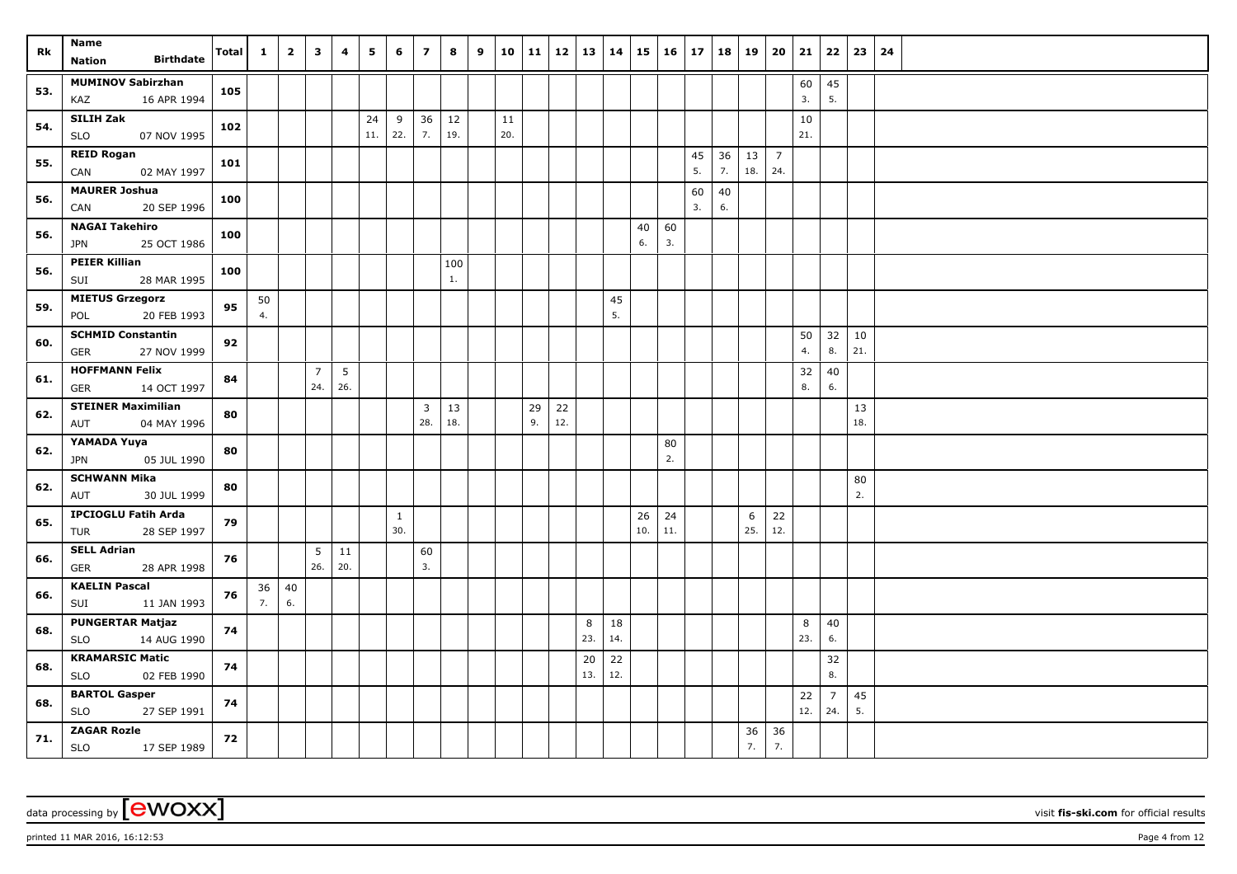| Rk  | Name<br><b>Birthdate</b><br>Nation                    | Total | $\mathbf{1}$ | $\overline{\mathbf{2}}$ | $\overline{\mathbf{3}}$ | 4         | 5         | 6                   | $\overline{ }$                 | 8         | 9 | 10        | 11       | $12$   13   14 |           |           | 15        | $16 \mid 17$ |          | 18       | 19        | 20                    | 21        | 22                    | 23        | 24 |
|-----|-------------------------------------------------------|-------|--------------|-------------------------|-------------------------|-----------|-----------|---------------------|--------------------------------|-----------|---|-----------|----------|----------------|-----------|-----------|-----------|--------------|----------|----------|-----------|-----------------------|-----------|-----------------------|-----------|----|
| 53. | <b>MUMINOV Sabirzhan</b><br>KAZ<br>16 APR 1994        | 105   |              |                         |                         |           |           |                     |                                |           |   |           |          |                |           |           |           |              |          |          |           |                       | 60<br>3.  | 45<br>5.              |           |    |
| 54. | SILIH Zak<br><b>SLO</b><br>07 NOV 1995                | 102   |              |                         |                         |           | 24<br>11. | 9<br>22.            | 36<br>7.                       | 12<br>19. |   | 11<br>20. |          |                |           |           |           |              |          |          |           |                       | 10<br>21. |                       |           |    |
| 55. | <b>REID Rogan</b><br>02 MAY 1997<br>CAN               | 101   |              |                         |                         |           |           |                     |                                |           |   |           |          |                |           |           |           |              | 45<br>5. | 36<br>7. | 13<br>18. | $\overline{7}$<br>24. |           |                       |           |    |
| 56. | <b>MAURER Joshua</b><br>20 SEP 1996<br>CAN            | 100   |              |                         |                         |           |           |                     |                                |           |   |           |          |                |           |           |           |              | 60<br>3. | 40<br>6. |           |                       |           |                       |           |    |
| 56. | <b>NAGAI Takehiro</b><br>25 OCT 1986<br>JPN           | 100   |              |                         |                         |           |           |                     |                                |           |   |           |          |                |           |           | 40<br>6.  | 60<br>3.     |          |          |           |                       |           |                       |           |    |
| 56. | <b>PEIER Killian</b><br>28 MAR 1995<br>SUI            | 100   |              |                         |                         |           |           |                     |                                | 100<br>1. |   |           |          |                |           |           |           |              |          |          |           |                       |           |                       |           |    |
| 59. | <b>MIETUS Grzegorz</b><br>20 FEB 1993<br>POL          | 95    | 50<br>4.     |                         |                         |           |           |                     |                                |           |   |           |          |                |           | 45<br>5.  |           |              |          |          |           |                       |           |                       |           |    |
| 60. | <b>SCHMID Constantin</b><br>27 NOV 1999<br><b>GER</b> | 92    |              |                         |                         |           |           |                     |                                |           |   |           |          |                |           |           |           |              |          |          |           |                       | 50<br>4.  | 32<br>8.              | 10<br>21. |    |
| 61. | <b>HOFFMANN Felix</b><br>14 OCT 1997<br><b>GER</b>    | 84    |              |                         | $\overline{7}$<br>24.   | 5<br>26.  |           |                     |                                |           |   |           |          |                |           |           |           |              |          |          |           |                       | 32<br>8.  | 40<br>$6.$            |           |    |
| 62. | <b>STEINER Maximilian</b><br>04 MAY 1996<br>AUT       | 80    |              |                         |                         |           |           |                     | $\overline{\mathbf{3}}$<br>28. | 13<br>18. |   |           | 29<br>9. | 22<br>12.      |           |           |           |              |          |          |           |                       |           |                       | 13<br>18. |    |
| 62. | YAMADA Yuya<br><b>JPN</b><br>05 JUL 1990              | 80    |              |                         |                         |           |           |                     |                                |           |   |           |          |                |           |           |           | 80<br>2.     |          |          |           |                       |           |                       |           |    |
| 62. | <b>SCHWANN Mika</b><br>AUT<br>30 JUL 1999             | 80    |              |                         |                         |           |           |                     |                                |           |   |           |          |                |           |           |           |              |          |          |           |                       |           |                       | 80<br>2.  |    |
| 65. | <b>IPCIOGLU Fatih Arda</b><br>28 SEP 1997<br>TUR      | 79    |              |                         |                         |           |           | $\mathbf{1}$<br>30. |                                |           |   |           |          |                |           |           | 26<br>10. | 24<br>11.    |          |          | 6<br>25.  | 22<br>12.             |           |                       |           |    |
| 66. | <b>SELL Adrian</b><br>28 APR 1998<br><b>GER</b>       | 76    |              |                         | 5<br>26.                | 11<br>20. |           |                     | 60<br>3.                       |           |   |           |          |                |           |           |           |              |          |          |           |                       |           |                       |           |    |
| 66. | <b>KAELIN Pascal</b><br>SUI<br>11 JAN 1993            | 76    | 36<br>7.     | 40<br>$6. \,$           |                         |           |           |                     |                                |           |   |           |          |                |           |           |           |              |          |          |           |                       |           |                       |           |    |
| 68. | <b>PUNGERTAR Matjaz</b><br>14 AUG 1990<br><b>SLO</b>  | 74    |              |                         |                         |           |           |                     |                                |           |   |           |          |                | 8<br>23.  | 18<br>14. |           |              |          |          |           |                       | 8<br>23.  | 40<br>6.              |           |    |
| 68. | <b>KRAMARSIC Matic</b><br>02 FEB 1990<br><b>SLO</b>   | 74    |              |                         |                         |           |           |                     |                                |           |   |           |          |                | 20<br>13. | 22<br>12. |           |              |          |          |           |                       |           | 32<br>8.              |           |    |
| 68. | <b>BARTOL Gasper</b><br><b>SLO</b><br>27 SEP 1991     | 74    |              |                         |                         |           |           |                     |                                |           |   |           |          |                |           |           |           |              |          |          |           |                       | 22<br>12. | $\overline{7}$<br>24. | 45<br>5.  |    |
| 71. | <b>ZAGAR Rozle</b><br><b>SLO</b><br>17 SEP 1989       | 72    |              |                         |                         |           |           |                     |                                |           |   |           |          |                |           |           |           |              |          |          | 36<br>7.  | 36<br>7.              |           |                       |           |    |

printed 11 MAR 2016, 16:12:53 Page 4 from 12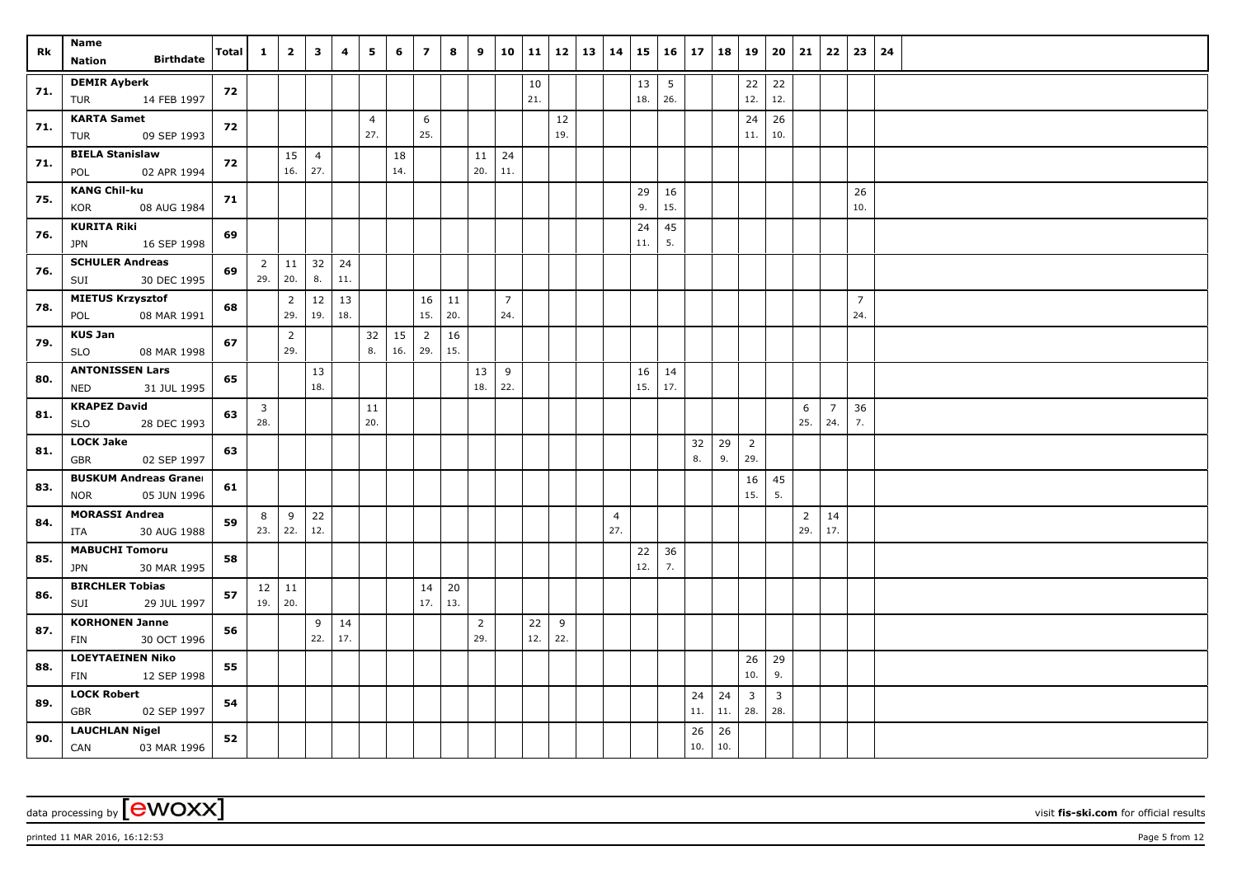| Rk  | Name<br><b>Birthdate</b><br>Nation                        | Total | $\mathbf{1}$          | $\overline{2}$            | $\overline{\mathbf{3}}$ | 4         | 5                     | 6         | $\overline{7}$        | 8         | 9                     |                       | $10 \mid 11$ | $12 \mid 13$ | 14                    | 15        | $16 \mid 17$ |           | 18        | 19                    | 20                    | 21                    | 22                    | 23                    | 24 |
|-----|-----------------------------------------------------------|-------|-----------------------|---------------------------|-------------------------|-----------|-----------------------|-----------|-----------------------|-----------|-----------------------|-----------------------|--------------|--------------|-----------------------|-----------|--------------|-----------|-----------|-----------------------|-----------------------|-----------------------|-----------------------|-----------------------|----|
| 71. | <b>DEMIR Ayberk</b><br>14 FEB 1997<br>TUR                 | 72    |                       |                           |                         |           |                       |           |                       |           |                       |                       | 10<br>21.    |              |                       | 13<br>18. | 5<br>26.     |           |           | 22<br>12.             | 22<br>12.             |                       |                       |                       |    |
| 71. | <b>KARTA Samet</b><br>09 SEP 1993<br>TUR                  | 72    |                       |                           |                         |           | $\overline{4}$<br>27. |           | 6<br>25.              |           |                       |                       |              | 12<br>19.    |                       |           |              |           |           | 24<br>11.             | 26<br>10.             |                       |                       |                       |    |
| 71. | <b>BIELA Stanislaw</b><br>02 APR 1994<br>POL              | 72    |                       | 15<br>16.                 | $\overline{4}$<br>27.   |           |                       | 18<br>14. |                       |           | 11<br>20.             | 24<br>11.             |              |              |                       |           |              |           |           |                       |                       |                       |                       |                       |    |
| 75. | <b>KANG Chil-ku</b><br><b>KOR</b><br>08 AUG 1984          | 71    |                       |                           |                         |           |                       |           |                       |           |                       |                       |              |              |                       | 29<br>9.  | 16<br>15.    |           |           |                       |                       |                       |                       | 26<br>10.             |    |
| 76. | <b>KURITA Riki</b><br>16 SEP 1998<br><b>JPN</b>           | 69    |                       |                           |                         |           |                       |           |                       |           |                       |                       |              |              |                       | 24<br>11. | 45<br>5.     |           |           |                       |                       |                       |                       |                       |    |
| 76. | <b>SCHULER Andreas</b><br>30 DEC 1995<br>SUI              | 69    | $\overline{2}$<br>29. | $\vert$ 11<br>20.         | 32<br>8.                | 24<br>11. |                       |           |                       |           |                       |                       |              |              |                       |           |              |           |           |                       |                       |                       |                       |                       |    |
| 78. | <b>MIETUS Krzysztof</b><br>08 MAR 1991<br>POL             | 68    |                       | $\overline{2}$<br>29.     | $12\,$<br>19.           | 13<br>18. |                       |           | 16<br>15.             | 11<br>20. |                       | $\overline{7}$<br>24. |              |              |                       |           |              |           |           |                       |                       |                       |                       | $\overline{7}$<br>24. |    |
| 79. | <b>KUS Jan</b><br><b>SLO</b><br>08 MAR 1998               | 67    |                       | $\overline{2}$<br>29.     |                         |           | 32<br>8.              | 15<br>16. | $\overline{2}$<br>29. | 16<br>15. |                       |                       |              |              |                       |           |              |           |           |                       |                       |                       |                       |                       |    |
| 80. | <b>ANTONISSEN Lars</b><br>31 JUL 1995<br><b>NED</b>       | 65    |                       |                           | 13<br>18.               |           |                       |           |                       |           | 13<br>18.             | 9<br>22.              |              |              |                       | 16<br>15. | 14<br>17.    |           |           |                       |                       |                       |                       |                       |    |
| 81. | <b>KRAPEZ David</b><br><b>SLO</b><br>28 DEC 1993          | 63    | $\mathbf{3}$<br>28.   |                           |                         |           | 11<br>20.             |           |                       |           |                       |                       |              |              |                       |           |              |           |           |                       |                       | 6<br>25.              | $\overline{7}$<br>24. | 36<br>7.              |    |
| 81. | <b>LOCK Jake</b><br><b>GBR</b><br>02 SEP 1997             | 63    |                       |                           |                         |           |                       |           |                       |           |                       |                       |              |              |                       |           |              | 32<br>8.  | 29<br>9.  | $\overline{2}$<br>29. |                       |                       |                       |                       |    |
| 83. | <b>BUSKUM Andreas Graner</b><br>05 JUN 1996<br><b>NOR</b> | 61    |                       |                           |                         |           |                       |           |                       |           |                       |                       |              |              |                       |           |              |           |           | 16<br>15.             | 45<br>5.              |                       |                       |                       |    |
| 84. | <b>MORASSI Andrea</b><br>30 AUG 1988<br>ITA               | 59    | 8                     | 9<br>23.   22.            | 22<br>12.               |           |                       |           |                       |           |                       |                       |              |              | $\overline{4}$<br>27. |           |              |           |           |                       |                       | $\overline{2}$<br>29. | 14<br>17.             |                       |    |
| 85. | <b>MABUCHI Tomoru</b><br>30 MAR 1995<br>JPN               | 58    |                       |                           |                         |           |                       |           |                       |           |                       |                       |              |              |                       | 22<br>12. | 36<br>7.     |           |           |                       |                       |                       |                       |                       |    |
| 86. | <b>BIRCHLER Tobias</b><br>SUI<br>29 JUL 1997              | 57    |                       | $12 \mid 11$<br>$19.$ 20. |                         |           |                       |           | 14<br>17.             | 20<br>13. |                       |                       |              |              |                       |           |              |           |           |                       |                       |                       |                       |                       |    |
| 87. | <b>KORHONEN Janne</b><br>30 OCT 1996<br><b>FIN</b>        | 56    |                       |                           | 9<br>22.                | 14<br>17. |                       |           |                       |           | $\overline{2}$<br>29. |                       | 22<br>12.    | 9<br>22.     |                       |           |              |           |           |                       |                       |                       |                       |                       |    |
| 88. | <b>LOEYTAEINEN Niko</b><br>12 SEP 1998<br><b>FIN</b>      | 55    |                       |                           |                         |           |                       |           |                       |           |                       |                       |              |              |                       |           |              |           |           | 26<br>10.             | 29<br>9.              |                       |                       |                       |    |
| 89. | <b>LOCK Robert</b><br>02 SEP 1997<br><b>GBR</b>           | 54    |                       |                           |                         |           |                       |           |                       |           |                       |                       |              |              |                       |           |              | 24<br>11. | 24<br>11. | $\overline{3}$<br>28. | $\overline{3}$<br>28. |                       |                       |                       |    |
| 90. | <b>LAUCHLAN Nigel</b><br>CAN<br>03 MAR 1996               | 52    |                       |                           |                         |           |                       |           |                       |           |                       |                       |              |              |                       |           |              | 26<br>10. | 26<br>10. |                       |                       |                       |                       |                       |    |

printed 11 MAR 2016, 16:12:53 Page 5 from 12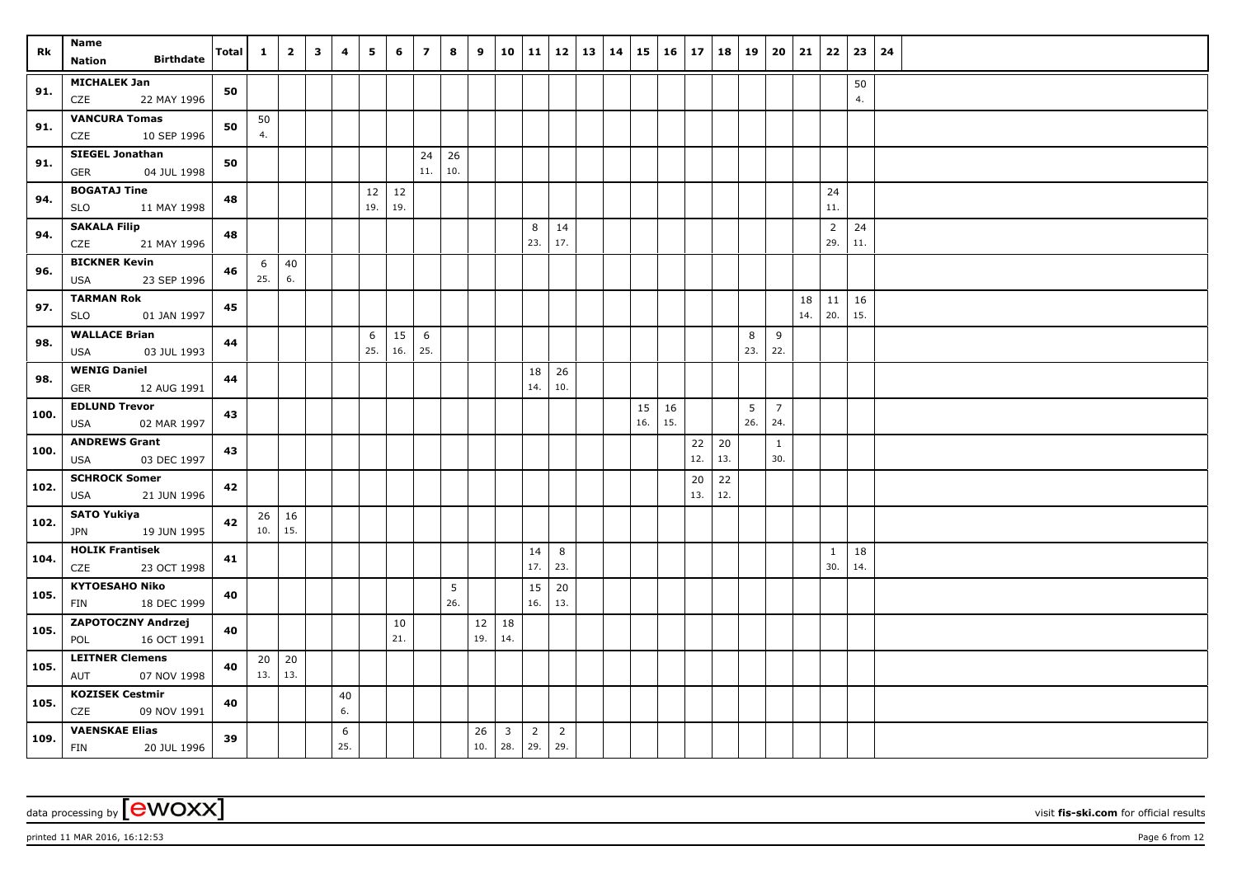| Rk   | Name<br><b>Birthdate</b><br>Nation                  | <b>Total</b> | $\mathbf{1}$ | $\overline{2}$ | $\overline{\mathbf{3}}$ | 4        | 5   | 6   | $\overline{7}$ | 8   | 9   |                         | 10 11          | 12   13   14   |  |     | $15 \mid 16 \mid 17$ |     |     | 18   19 | 20             | 21  | 22                    | 23        | 24 |
|------|-----------------------------------------------------|--------------|--------------|----------------|-------------------------|----------|-----|-----|----------------|-----|-----|-------------------------|----------------|----------------|--|-----|----------------------|-----|-----|---------|----------------|-----|-----------------------|-----------|----|
|      | <b>MICHALEK Jan</b>                                 |              |              |                |                         |          |     |     |                |     |     |                         |                |                |  |     |                      |     |     |         |                |     |                       |           |    |
| 91.  | CZE<br>22 MAY 1996                                  | 50           |              |                |                         |          |     |     |                |     |     |                         |                |                |  |     |                      |     |     |         |                |     |                       | 50<br>4.  |    |
|      | <b>VANCURA Tomas</b>                                |              | 50           |                |                         |          |     |     |                |     |     |                         |                |                |  |     |                      |     |     |         |                |     |                       |           |    |
| 91.  | CZE<br>10 SEP 1996                                  | 50           | 4.           |                |                         |          |     |     |                |     |     |                         |                |                |  |     |                      |     |     |         |                |     |                       |           |    |
| 91.  | <b>SIEGEL Jonathan</b>                              | 50           |              |                |                         |          |     |     | 24             | 26  |     |                         |                |                |  |     |                      |     |     |         |                |     |                       |           |    |
|      | <b>GER</b><br>04 JUL 1998                           |              |              |                |                         |          |     |     | 11.            | 10. |     |                         |                |                |  |     |                      |     |     |         |                |     |                       |           |    |
| 94.  | <b>BOGATAJ Tine</b>                                 | 48           |              |                |                         |          | 12  | 12  |                |     |     |                         |                |                |  |     |                      |     |     |         |                |     | 24                    |           |    |
|      | <b>SLO</b><br>11 MAY 1998                           |              |              |                |                         |          | 19. | 19. |                |     |     |                         |                |                |  |     |                      |     |     |         |                |     | 11.                   |           |    |
| 94.  | <b>SAKALA Filip</b><br>21 MAY 1996<br>CZE           | 48           |              |                |                         |          |     |     |                |     |     |                         | 8<br>23.       | 14<br>17.      |  |     |                      |     |     |         |                |     | $\overline{2}$<br>29. | 24<br>11. |    |
|      | <b>BICKNER Kevin</b>                                |              | 6            | 40             |                         |          |     |     |                |     |     |                         |                |                |  |     |                      |     |     |         |                |     |                       |           |    |
| 96.  | 23 SEP 1996<br>USA                                  | 46           | 25.          | 6.             |                         |          |     |     |                |     |     |                         |                |                |  |     |                      |     |     |         |                |     |                       |           |    |
| 97.  | <b>TARMAN Rok</b>                                   | 45           |              |                |                         |          |     |     |                |     |     |                         |                |                |  |     |                      |     |     |         |                | 18  | $11 \mid 16$          |           |    |
|      | 01 JAN 1997<br><b>SLO</b>                           |              |              |                |                         |          |     |     |                |     |     |                         |                |                |  |     |                      |     |     |         |                | 14. | 20.                   | 15.       |    |
| 98.  | <b>WALLACE Brian</b>                                | 44           |              |                |                         |          | 6   | 15  | 6              |     |     |                         |                |                |  |     |                      |     |     | 8       | 9              |     |                       |           |    |
|      | 03 JUL 1993<br>USA                                  |              |              |                |                         |          | 25. | 16. | 25.            |     |     |                         |                |                |  |     |                      |     |     | 23.     | 22.            |     |                       |           |    |
| 98.  | <b>WENIG Daniel</b><br><b>GER</b><br>12 AUG 1991    | 44           |              |                |                         |          |     |     |                |     |     |                         | 18<br>14.      | 26<br>10.      |  |     |                      |     |     |         |                |     |                       |           |    |
|      | <b>EDLUND Trevor</b>                                |              |              |                |                         |          |     |     |                |     |     |                         |                |                |  | 15  | 16                   |     |     | 5       | $\overline{7}$ |     |                       |           |    |
| 100. | 02 MAR 1997<br><b>USA</b>                           | 43           |              |                |                         |          |     |     |                |     |     |                         |                |                |  | 16. | 15.                  |     |     | 26.     | 24.            |     |                       |           |    |
|      | <b>ANDREWS Grant</b>                                |              |              |                |                         |          |     |     |                |     |     |                         |                |                |  |     |                      | 22  | 20  |         | $\mathbf{1}$   |     |                       |           |    |
| 100. | USA<br>03 DEC 1997                                  | 43           |              |                |                         |          |     |     |                |     |     |                         |                |                |  |     |                      | 12. | 13. |         | 30.            |     |                       |           |    |
| 102. | <b>SCHROCK Somer</b>                                | 42           |              |                |                         |          |     |     |                |     |     |                         |                |                |  |     |                      | 20  | 22  |         |                |     |                       |           |    |
|      | <b>USA</b><br>21 JUN 1996                           |              |              |                |                         |          |     |     |                |     |     |                         |                |                |  |     |                      | 13. | 12. |         |                |     |                       |           |    |
| 102. | <b>SATO Yukiya</b>                                  | 42           |              | $26 \mid 16$   |                         |          |     |     |                |     |     |                         |                |                |  |     |                      |     |     |         |                |     |                       |           |    |
|      | 19 JUN 1995<br><b>JPN</b><br><b>HOLIK Frantisek</b> |              | 10.          | 15.            |                         |          |     |     |                |     |     |                         |                |                |  |     |                      |     |     |         |                |     |                       |           |    |
| 104. | CZE<br>23 OCT 1998                                  | 41           |              |                |                         |          |     |     |                |     |     |                         | 14<br>17.      | 8<br>23.       |  |     |                      |     |     |         |                |     | $\mathbf{1}$<br>30.   | 18<br>14. |    |
|      | <b>KYTOESAHO Niko</b>                               |              |              |                |                         |          |     |     |                | 5   |     |                         | 15             | 20             |  |     |                      |     |     |         |                |     |                       |           |    |
| 105. | 18 DEC 1999<br>FIN                                  | 40           |              |                |                         |          |     |     |                | 26. |     |                         | 16.            | 13.            |  |     |                      |     |     |         |                |     |                       |           |    |
| 105. | ZAPOTOCZNY Andrzej                                  | 40           |              |                |                         |          |     | 10  |                |     | 12  | 18                      |                |                |  |     |                      |     |     |         |                |     |                       |           |    |
|      | 16 OCT 1991<br>POL                                  |              |              |                |                         |          |     | 21. |                |     | 19. | 14.                     |                |                |  |     |                      |     |     |         |                |     |                       |           |    |
| 105. | <b>LEITNER Clemens</b>                              | 40           |              | $20 \mid 20$   |                         |          |     |     |                |     |     |                         |                |                |  |     |                      |     |     |         |                |     |                       |           |    |
|      | AUT<br>07 NOV 1998                                  |              | 13.          | 13.            |                         |          |     |     |                |     |     |                         |                |                |  |     |                      |     |     |         |                |     |                       |           |    |
| 105. | <b>KOZISEK Cestmir</b><br>CZE<br>09 NOV 1991        | 40           |              |                |                         | 40<br>6. |     |     |                |     |     |                         |                |                |  |     |                      |     |     |         |                |     |                       |           |    |
|      | <b>VAENSKAE Elias</b>                               |              |              |                |                         |          |     |     |                |     | 26  | $\overline{\mathbf{3}}$ | $\overline{2}$ | $\overline{2}$ |  |     |                      |     |     |         |                |     |                       |           |    |
| 109. | <b>FIN</b><br>20 JUL 1996                           | 39           |              |                |                         | 6<br>25. |     |     |                |     | 10. | 28.                     | $\vert$ 29.    | 29.            |  |     |                      |     |     |         |                |     |                       |           |    |

printed 11 MAR 2016, 16:12:53 Page 6 from 12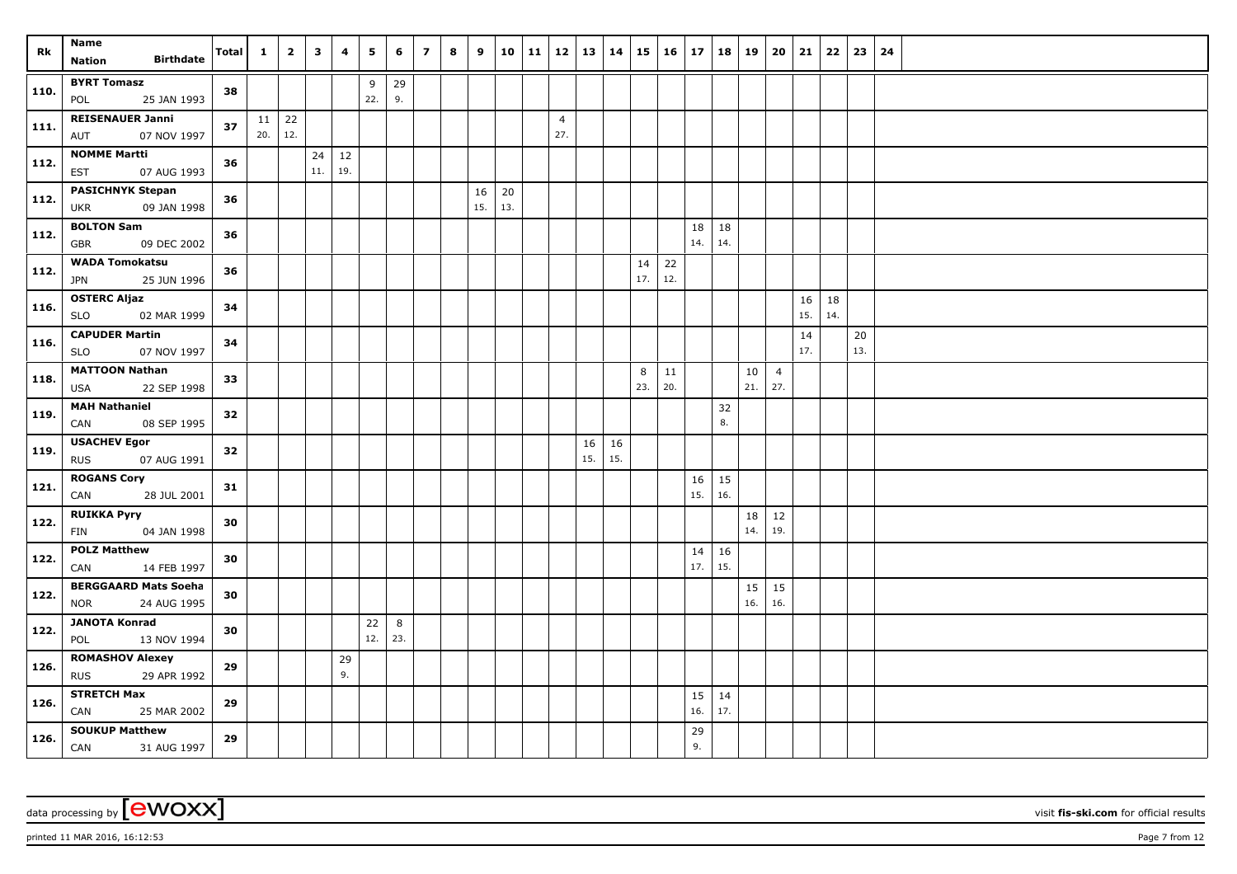| Rk   | Name                                                     | <b>Total</b> | $\mathbf{1}$        | $\overline{2}$ | $\overline{\mathbf{3}}$ | 4         | 5         | 6        | $\overline{\phantom{a}}$ | 8 | 9         | 10        | 11 | $12$   13   14        |           |           | 15        | $16 \mid 17$ |           | 18        | 19        | 20                    | 21        | 22        | 23            | 24 |
|------|----------------------------------------------------------|--------------|---------------------|----------------|-------------------------|-----------|-----------|----------|--------------------------|---|-----------|-----------|----|-----------------------|-----------|-----------|-----------|--------------|-----------|-----------|-----------|-----------------------|-----------|-----------|---------------|----|
|      | <b>Birthdate</b><br><b>Nation</b>                        |              |                     |                |                         |           |           |          |                          |   |           |           |    |                       |           |           |           |              |           |           |           |                       |           |           |               |    |
| 110. | <b>BYRT Tomasz</b><br>25 JAN 1993<br>POL                 | 38           |                     |                |                         |           | 9<br>22.  | 29<br>9. |                          |   |           |           |    |                       |           |           |           |              |           |           |           |                       |           |           |               |    |
| 111. | <b>REISENAUER Janni</b><br>07 NOV 1997<br>AUT            | 37           | $11 \mid 22$<br>20. | 12.            |                         |           |           |          |                          |   |           |           |    | $\overline{4}$<br>27. |           |           |           |              |           |           |           |                       |           |           |               |    |
| 112. | <b>NOMME Martti</b><br>07 AUG 1993<br>EST                | 36           |                     |                | 24<br>11.               | 12<br>19. |           |          |                          |   |           |           |    |                       |           |           |           |              |           |           |           |                       |           |           |               |    |
| 112. | <b>PASICHNYK Stepan</b><br>09 JAN 1998<br><b>UKR</b>     | 36           |                     |                |                         |           |           |          |                          |   | 16<br>15. | 20<br>13. |    |                       |           |           |           |              |           |           |           |                       |           |           |               |    |
| 112. | <b>BOLTON Sam</b><br>09 DEC 2002<br><b>GBR</b>           | 36           |                     |                |                         |           |           |          |                          |   |           |           |    |                       |           |           |           |              | 18<br>14. | 18<br>14. |           |                       |           |           |               |    |
| 112. | <b>WADA Tomokatsu</b><br>25 JUN 1996<br><b>JPN</b>       | 36           |                     |                |                         |           |           |          |                          |   |           |           |    |                       |           |           | 14<br>17. | 22<br>12.    |           |           |           |                       |           |           |               |    |
| 116. | <b>OSTERC Aljaz</b><br>02 MAR 1999<br><b>SLO</b>         | 34           |                     |                |                         |           |           |          |                          |   |           |           |    |                       |           |           |           |              |           |           |           |                       | 16<br>15. | 18<br>14. |               |    |
| 116. | <b>CAPUDER Martin</b><br><b>SLO</b><br>07 NOV 1997       | 34           |                     |                |                         |           |           |          |                          |   |           |           |    |                       |           |           |           |              |           |           |           |                       | 14<br>17. |           | $20\,$<br>13. |    |
| 118. | <b>MATTOON Nathan</b><br><b>USA</b><br>22 SEP 1998       | 33           |                     |                |                         |           |           |          |                          |   |           |           |    |                       |           |           | 8<br>23.  | 11<br>20.    |           |           | 10<br>21. | $\overline{4}$<br>27. |           |           |               |    |
| 119. | <b>MAH Nathaniel</b><br>08 SEP 1995<br>CAN               | 32           |                     |                |                         |           |           |          |                          |   |           |           |    |                       |           |           |           |              |           | 32<br>8.  |           |                       |           |           |               |    |
| 119. | <b>USACHEV Egor</b><br><b>RUS</b><br>07 AUG 1991         | 32           |                     |                |                         |           |           |          |                          |   |           |           |    |                       | 16<br>15. | 16<br>15. |           |              |           |           |           |                       |           |           |               |    |
| 121. | <b>ROGANS Cory</b><br>CAN<br>28 JUL 2001                 | 31           |                     |                |                         |           |           |          |                          |   |           |           |    |                       |           |           |           |              | 16<br>15. | 15<br>16. |           |                       |           |           |               |    |
| 122. | <b>RUIKKA Pyry</b><br>04 JAN 1998<br>FIN                 | 30           |                     |                |                         |           |           |          |                          |   |           |           |    |                       |           |           |           |              |           |           | 18<br>14. | 12<br>19.             |           |           |               |    |
| 122. | <b>POLZ Matthew</b><br>14 FEB 1997<br>CAN                | 30           |                     |                |                         |           |           |          |                          |   |           |           |    |                       |           |           |           |              | 14<br>17. | 16<br>15. |           |                       |           |           |               |    |
| 122. | <b>BERGGAARD Mats Soeha</b><br>24 AUG 1995<br><b>NOR</b> | 30           |                     |                |                         |           |           |          |                          |   |           |           |    |                       |           |           |           |              |           |           | 15<br>16. | 15<br>16.             |           |           |               |    |
| 122. | <b>JANOTA Konrad</b><br>13 NOV 1994<br>POL               | 30           |                     |                |                         |           | 22<br>12. | 8<br>23. |                          |   |           |           |    |                       |           |           |           |              |           |           |           |                       |           |           |               |    |
| 126. | <b>ROMASHOV Alexey</b><br><b>RUS</b><br>29 APR 1992      | 29           |                     |                |                         | 29<br>9.  |           |          |                          |   |           |           |    |                       |           |           |           |              |           |           |           |                       |           |           |               |    |
| 126. | <b>STRETCH Max</b><br>CAN<br>25 MAR 2002                 | 29           |                     |                |                         |           |           |          |                          |   |           |           |    |                       |           |           |           |              | 15<br>16. | 14<br>17. |           |                       |           |           |               |    |
| 126. | <b>SOUKUP Matthew</b><br>CAN<br>31 AUG 1997              | 29           |                     |                |                         |           |           |          |                          |   |           |           |    |                       |           |           |           |              | 29<br>9.  |           |           |                       |           |           |               |    |

printed 11 MAR 2016, 16:12:53 Page 7 from 12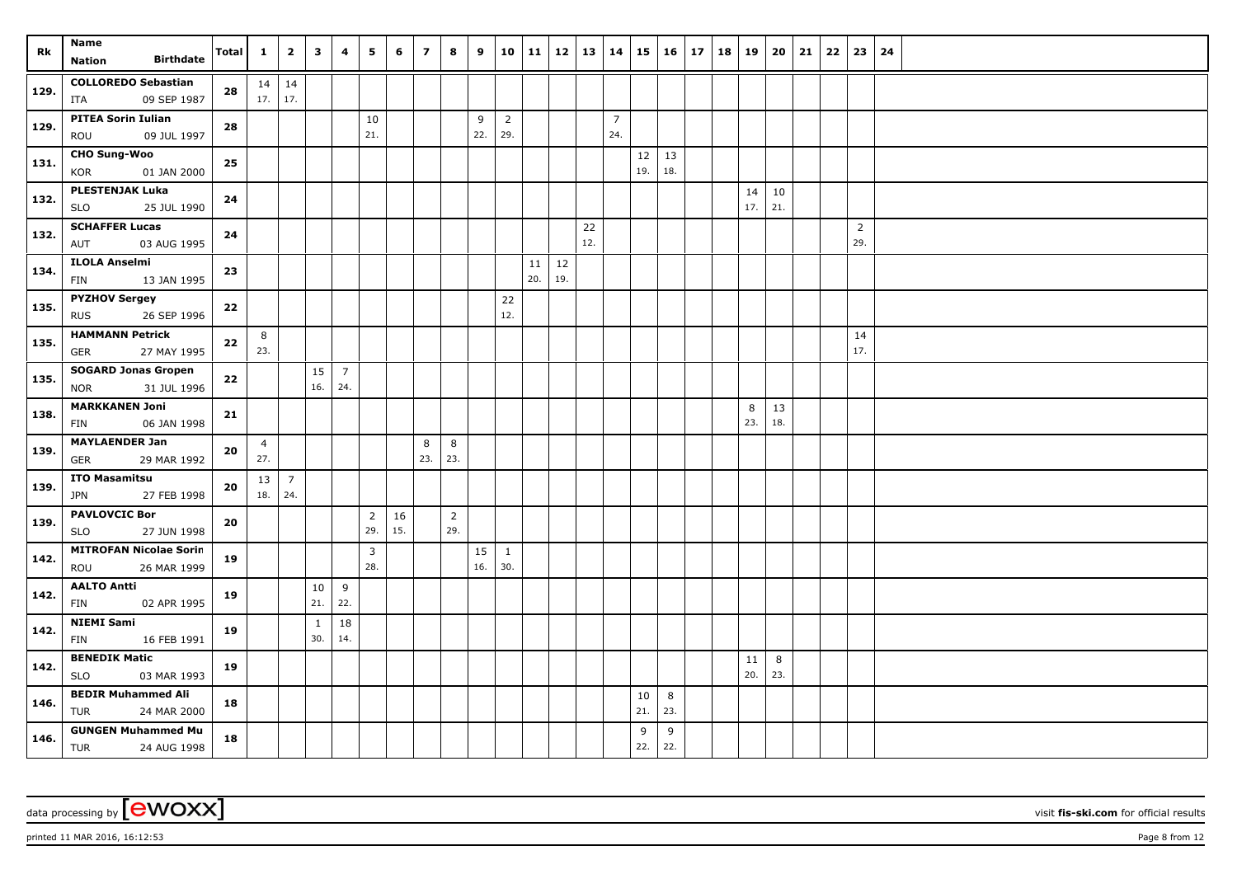| Rk   | Name<br><b>Birthdate</b><br><b>Nation</b>               | Total      | $\mathbf{1}$          | $\overline{2}$        | $\mathbf{3}$        | 4                     | 5                     | 6         | $\overline{z}$ | 8                     | 9         | 10                    | 11        | 12        | 13        | $ 14\rangle$          | 15                  | 16       | 17 | 18 | 19        | 20            | 21 | 22 | 23                    | 24 |
|------|---------------------------------------------------------|------------|-----------------------|-----------------------|---------------------|-----------------------|-----------------------|-----------|----------------|-----------------------|-----------|-----------------------|-----------|-----------|-----------|-----------------------|---------------------|----------|----|----|-----------|---------------|----|----|-----------------------|----|
| 129. | <b>COLLOREDO Sebastian</b><br>09 SEP 1987<br>ITA        | 28         | 17.                   | $14 \mid 14$<br>17.   |                     |                       |                       |           |                |                       |           |                       |           |           |           |                       |                     |          |    |    |           |               |    |    |                       |    |
| 129. | <b>PITEA Sorin Iulian</b><br>09 JUL 1997<br>ROU         | 28         |                       |                       |                     |                       | 10<br>21.             |           |                |                       | 9<br>22.  | $\overline{2}$<br>29. |           |           |           | $\overline{7}$<br>24. |                     |          |    |    |           |               |    |    |                       |    |
| 131. | <b>CHO Sung-Woo</b><br>KOR<br>01 JAN 2000               | 25         |                       |                       |                     |                       |                       |           |                |                       |           |                       |           |           |           |                       | $12 \mid 13$<br>19. | 18.      |    |    |           |               |    |    |                       |    |
| 132. | <b>PLESTENJAK Luka</b><br><b>SLO</b><br>25 JUL 1990     | 24         |                       |                       |                     |                       |                       |           |                |                       |           |                       |           |           |           |                       |                     |          |    |    | 14<br>17. | $10\,$<br>21. |    |    |                       |    |
| 132. | <b>SCHAFFER Lucas</b><br>03 AUG 1995<br>AUT             | 24         |                       |                       |                     |                       |                       |           |                |                       |           |                       |           |           | 22<br>12. |                       |                     |          |    |    |           |               |    |    | $\overline{2}$<br>29. |    |
| 134. | <b>ILOLA Anselmi</b><br>13 JAN 1995<br>FIN              | 23         |                       |                       |                     |                       |                       |           |                |                       |           |                       | 11<br>20. | 12<br>19. |           |                       |                     |          |    |    |           |               |    |    |                       |    |
| 135. | <b>PYZHOV Sergey</b><br>26 SEP 1996<br><b>RUS</b>       | 22         |                       |                       |                     |                       |                       |           |                |                       |           | 22<br>12.             |           |           |           |                       |                     |          |    |    |           |               |    |    |                       |    |
| 135. | <b>HAMMANN Petrick</b><br>27 MAY 1995<br>GER            | 22         | 8<br>23.              |                       |                     |                       |                       |           |                |                       |           |                       |           |           |           |                       |                     |          |    |    |           |               |    |    | 14<br>17.             |    |
| 135. | <b>SOGARD Jonas Gropen</b><br><b>NOR</b><br>31 JUL 1996 | ${\bf 22}$ |                       |                       | 15<br>16.           | $\overline{7}$<br>24. |                       |           |                |                       |           |                       |           |           |           |                       |                     |          |    |    |           |               |    |    |                       |    |
| 138. | <b>MARKKANEN Joni</b><br>06 JAN 1998<br>FIN             | 21         |                       |                       |                     |                       |                       |           |                |                       |           |                       |           |           |           |                       |                     |          |    |    | 8<br>23.  | 13<br>18.     |    |    |                       |    |
| 139. | <b>MAYLAENDER Jan</b><br>GER<br>29 MAR 1992             | 20         | $\overline{4}$<br>27. |                       |                     |                       |                       |           | 8<br>23.       | 8<br>23.              |           |                       |           |           |           |                       |                     |          |    |    |           |               |    |    |                       |    |
| 139. | <b>ITO Masamitsu</b><br><b>JPN</b><br>27 FEB 1998       | 20         | 13<br>18.             | $\overline{7}$<br>24. |                     |                       |                       |           |                |                       |           |                       |           |           |           |                       |                     |          |    |    |           |               |    |    |                       |    |
| 139. | <b>PAVLOVCIC Bor</b><br>27 JUN 1998<br><b>SLO</b>       | 20         |                       |                       |                     |                       | $\overline{2}$<br>29. | 16<br>15. |                | $\overline{2}$<br>29. |           |                       |           |           |           |                       |                     |          |    |    |           |               |    |    |                       |    |
| 142. | <b>MITROFAN Nicolae Sorin</b><br>26 MAR 1999<br>ROU     | 19         |                       |                       |                     |                       | $\overline{3}$<br>28. |           |                |                       | 15<br>16. | $\mathbf{1}$<br>30.   |           |           |           |                       |                     |          |    |    |           |               |    |    |                       |    |
| 142. | <b>AALTO Antti</b><br>02 APR 1995<br>FIN                | 19         |                       |                       | 10<br>21.           | 9<br>22.              |                       |           |                |                       |           |                       |           |           |           |                       |                     |          |    |    |           |               |    |    |                       |    |
| 142. | <b>NIEMI Sami</b><br>FIN<br>16 FEB 1991                 | 19         |                       |                       | $\mathbf{1}$<br>30. | 18<br>14.             |                       |           |                |                       |           |                       |           |           |           |                       |                     |          |    |    |           |               |    |    |                       |    |
| 142. | <b>BENEDIK Matic</b><br><b>SLO</b><br>03 MAR 1993       | 19         |                       |                       |                     |                       |                       |           |                |                       |           |                       |           |           |           |                       |                     |          |    |    | 11<br>20. | 8<br>23.      |    |    |                       |    |
| 146. | <b>BEDIR Muhammed Ali</b><br>TUR<br>24 MAR 2000         | 18         |                       |                       |                     |                       |                       |           |                |                       |           |                       |           |           |           |                       | 10<br>21.           | 8<br>23. |    |    |           |               |    |    |                       |    |
| 146. | <b>GUNGEN Muhammed Mu</b><br>TUR<br>24 AUG 1998         | 18         |                       |                       |                     |                       |                       |           |                |                       |           |                       |           |           |           |                       | 9<br>22.            | 9<br>22. |    |    |           |               |    |    |                       |    |

printed 11 MAR 2016, 16:12:53 Page 8 from 12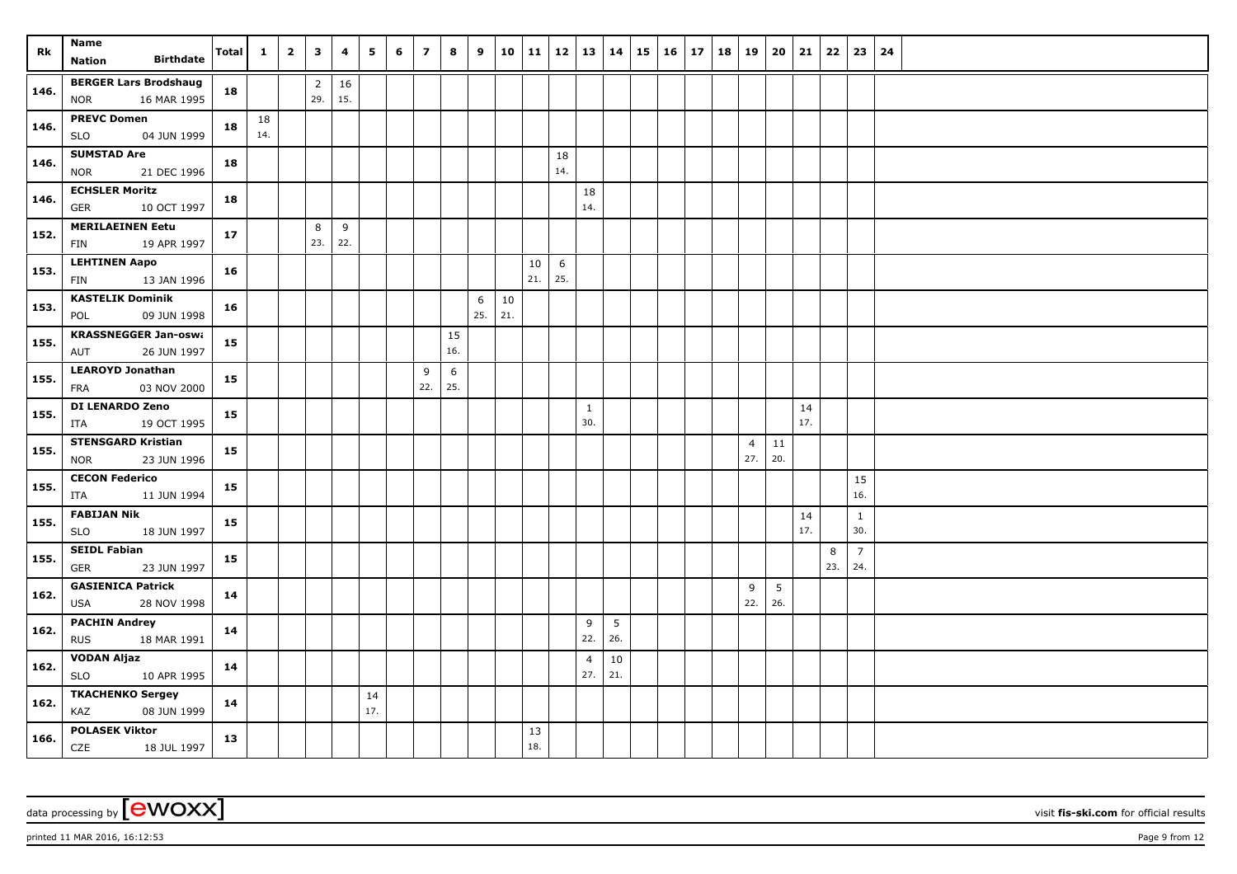| Rk   | Name                                              | <b>Total</b> | $\mathbf{1}$ | $\overline{2}$ | $\overline{\mathbf{3}}$ | 4   | 5         | 6 | $\overline{z}$ | 8         | 9        | 10            | 11  |           | 12   13        | 14     | $15 \mid 16 \mid$ | 17 | 18 | 19             | 20              | 21        | 22       | 23                  | 24 |
|------|---------------------------------------------------|--------------|--------------|----------------|-------------------------|-----|-----------|---|----------------|-----------|----------|---------------|-----|-----------|----------------|--------|-------------------|----|----|----------------|-----------------|-----------|----------|---------------------|----|
|      | <b>Birthdate</b><br>Nation                        |              |              |                |                         |     |           |   |                |           |          |               |     |           |                |        |                   |    |    |                |                 |           |          |                     |    |
| 146. | <b>BERGER Lars Brodshaug</b>                      | 18           |              |                | $\overline{2}$          | 16  |           |   |                |           |          |               |     |           |                |        |                   |    |    |                |                 |           |          |                     |    |
|      | 16 MAR 1995<br><b>NOR</b>                         |              |              |                | 29.                     | 15. |           |   |                |           |          |               |     |           |                |        |                   |    |    |                |                 |           |          |                     |    |
| 146. | <b>PREVC Domen</b>                                | 18           | 18           |                |                         |     |           |   |                |           |          |               |     |           |                |        |                   |    |    |                |                 |           |          |                     |    |
|      | <b>SLO</b><br>04 JUN 1999                         |              | 14.          |                |                         |     |           |   |                |           |          |               |     |           |                |        |                   |    |    |                |                 |           |          |                     |    |
| 146. | <b>SUMSTAD Are</b><br>21 DEC 1996<br><b>NOR</b>   | 18           |              |                |                         |     |           |   |                |           |          |               |     | 18<br>14. |                |        |                   |    |    |                |                 |           |          |                     |    |
|      | <b>ECHSLER Moritz</b>                             |              |              |                |                         |     |           |   |                |           |          |               |     |           | 18             |        |                   |    |    |                |                 |           |          |                     |    |
| 146. | <b>GER</b><br>10 OCT 1997                         | 18           |              |                |                         |     |           |   |                |           |          |               |     |           | 14.            |        |                   |    |    |                |                 |           |          |                     |    |
| 152. | <b>MERILAEINEN Eetu</b>                           | 17           |              |                | 8                       | 9   |           |   |                |           |          |               |     |           |                |        |                   |    |    |                |                 |           |          |                     |    |
|      | 19 APR 1997<br>FIN                                |              |              |                | 23.                     | 22. |           |   |                |           |          |               |     |           |                |        |                   |    |    |                |                 |           |          |                     |    |
| 153. | <b>LEHTINEN Aapo</b>                              | 16           |              |                |                         |     |           |   |                |           |          |               | 10  | 6         |                |        |                   |    |    |                |                 |           |          |                     |    |
|      | 13 JAN 1996<br>FIN                                |              |              |                |                         |     |           |   |                |           |          |               | 21. | 25.       |                |        |                   |    |    |                |                 |           |          |                     |    |
| 153. | <b>KASTELIK Dominik</b>                           | 16           |              |                |                         |     |           |   |                |           | 6<br>25. | $10\,$<br>21. |     |           |                |        |                   |    |    |                |                 |           |          |                     |    |
|      | 09 JUN 1998<br>POL                                |              |              |                |                         |     |           |   |                |           |          |               |     |           |                |        |                   |    |    |                |                 |           |          |                     |    |
| 155. | <b>KRASSNEGGER Jan-oswa</b><br>26 JUN 1997<br>AUT | 15           |              |                |                         |     |           |   |                | 15<br>16. |          |               |     |           |                |        |                   |    |    |                |                 |           |          |                     |    |
|      | <b>LEAROYD Jonathan</b>                           |              |              |                |                         |     |           |   | 9              | 6         |          |               |     |           |                |        |                   |    |    |                |                 |           |          |                     |    |
| 155. | 03 NOV 2000<br>FRA                                | 15           |              |                |                         |     |           |   | 22.            | 25.       |          |               |     |           |                |        |                   |    |    |                |                 |           |          |                     |    |
|      | DI LENARDO Zeno                                   |              |              |                |                         |     |           |   |                |           |          |               |     |           | $\mathbf{1}$   |        |                   |    |    |                |                 | 14        |          |                     |    |
| 155. | 19 OCT 1995<br>ITA                                | 15           |              |                |                         |     |           |   |                |           |          |               |     |           | 30.            |        |                   |    |    |                |                 | 17.       |          |                     |    |
| 155. | <b>STENSGARD Kristian</b>                         | 15           |              |                |                         |     |           |   |                |           |          |               |     |           |                |        |                   |    |    | $\overline{4}$ | $11\,$          |           |          |                     |    |
|      | 23 JUN 1996<br>NOR                                |              |              |                |                         |     |           |   |                |           |          |               |     |           |                |        |                   |    |    | 27.            | 20.             |           |          |                     |    |
| 155. | <b>CECON Federico</b>                             | 15           |              |                |                         |     |           |   |                |           |          |               |     |           |                |        |                   |    |    |                |                 |           |          | 15                  |    |
|      | 11 JUN 1994<br>ITA                                |              |              |                |                         |     |           |   |                |           |          |               |     |           |                |        |                   |    |    |                |                 |           |          | 16.                 |    |
| 155. | <b>FABIJAN Nik</b><br>18 JUN 1997                 | 15           |              |                |                         |     |           |   |                |           |          |               |     |           |                |        |                   |    |    |                |                 | 14<br>17. |          | $\mathbf{1}$<br>30. |    |
|      | <b>SLO</b><br><b>SEIDL Fabian</b>                 |              |              |                |                         |     |           |   |                |           |          |               |     |           |                |        |                   |    |    |                |                 |           |          | $\overline{7}$      |    |
| 155. | <b>GER</b><br>23 JUN 1997                         | 15           |              |                |                         |     |           |   |                |           |          |               |     |           |                |        |                   |    |    |                |                 |           | 8<br>23. | 24.                 |    |
|      | <b>GASIENICA Patrick</b>                          |              |              |                |                         |     |           |   |                |           |          |               |     |           |                |        |                   |    |    | 9              | $5\phantom{.0}$ |           |          |                     |    |
| 162. | 28 NOV 1998<br>USA                                | 14           |              |                |                         |     |           |   |                |           |          |               |     |           |                |        |                   |    |    | 22.            | 26.             |           |          |                     |    |
| 162. | <b>PACHIN Andrey</b>                              | 14           |              |                |                         |     |           |   |                |           |          |               |     |           | 9              | 5      |                   |    |    |                |                 |           |          |                     |    |
|      | <b>RUS</b><br>18 MAR 1991                         |              |              |                |                         |     |           |   |                |           |          |               |     |           | 22.            | 26.    |                   |    |    |                |                 |           |          |                     |    |
| 162. | <b>VODAN Aljaz</b>                                | 14           |              |                |                         |     |           |   |                |           |          |               |     |           | $\overline{4}$ | $10\,$ |                   |    |    |                |                 |           |          |                     |    |
|      | 10 APR 1995<br><b>SLO</b>                         |              |              |                |                         |     |           |   |                |           |          |               |     |           | 27.            | 21.    |                   |    |    |                |                 |           |          |                     |    |
| 162. | <b>TKACHENKO Sergey</b><br>KAZ<br>08 JUN 1999     | 14           |              |                |                         |     | 14<br>17. |   |                |           |          |               |     |           |                |        |                   |    |    |                |                 |           |          |                     |    |
|      | <b>POLASEK Viktor</b>                             |              |              |                |                         |     |           |   |                |           |          |               | 13  |           |                |        |                   |    |    |                |                 |           |          |                     |    |
| 166. | CZE<br>18 JUL 1997                                | 13           |              |                |                         |     |           |   |                |           |          |               | 18. |           |                |        |                   |    |    |                |                 |           |          |                     |    |

printed 11 MAR 2016, 16:12:53 Page 9 from 12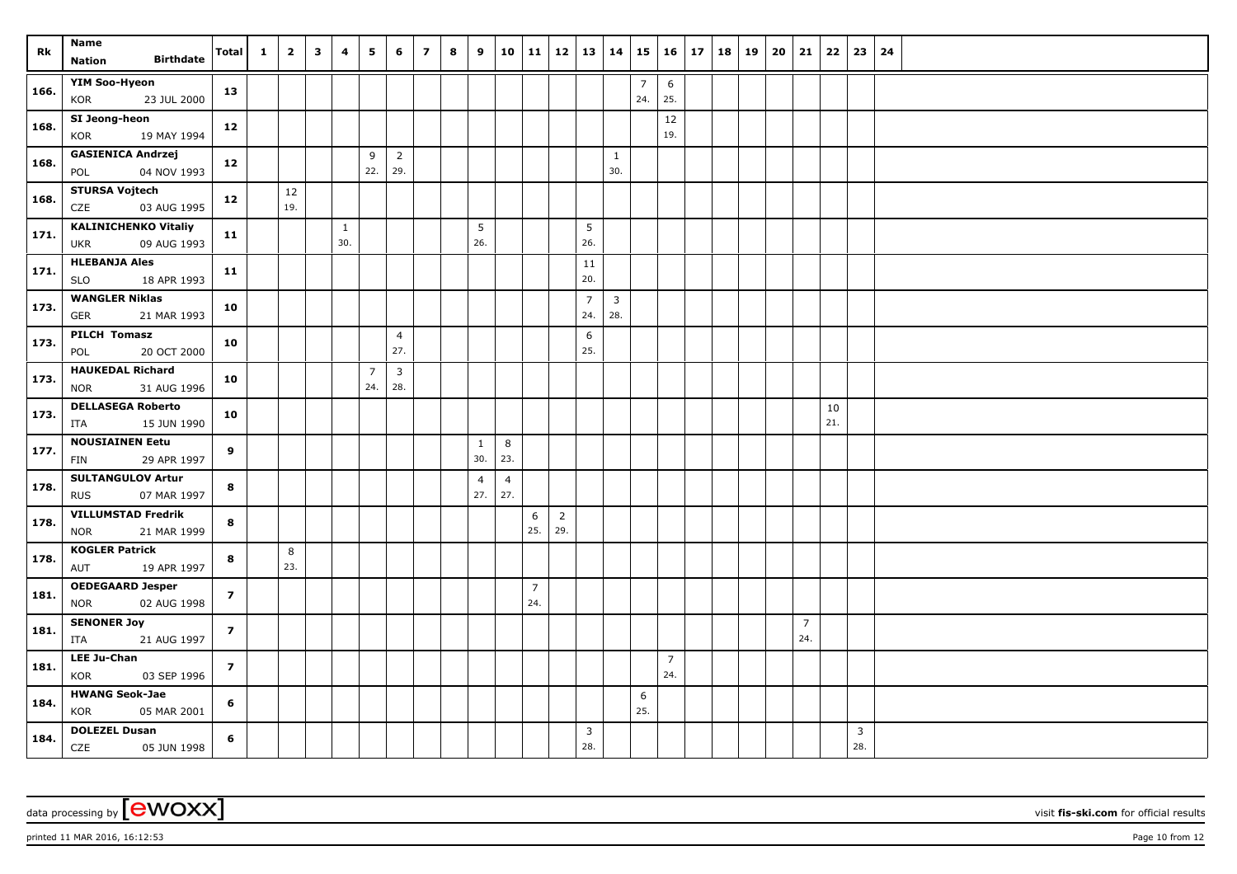| Rk   | Name                                                     | <b>Total</b>   | $\mathbf{1}$ | $\overline{2}$ | $\overline{\mathbf{3}}$ | 4                   | 5                     | 6                     | $\overline{\mathbf{z}}$ | 8 | 9                     | 10                    |                       | 11   12   13   14     |                        |                                |                       | $15 \mid 16$          | 17 | 18 | 19 | 20 | 21                    | 22        | 23                    | 24 |
|------|----------------------------------------------------------|----------------|--------------|----------------|-------------------------|---------------------|-----------------------|-----------------------|-------------------------|---|-----------------------|-----------------------|-----------------------|-----------------------|------------------------|--------------------------------|-----------------------|-----------------------|----|----|----|----|-----------------------|-----------|-----------------------|----|
|      | <b>Birthdate</b><br><b>Nation</b>                        |                |              |                |                         |                     |                       |                       |                         |   |                       |                       |                       |                       |                        |                                |                       |                       |    |    |    |    |                       |           |                       |    |
| 166. | YIM Soo-Hyeon<br>KOR<br>23 JUL 2000                      | 13             |              |                |                         |                     |                       |                       |                         |   |                       |                       |                       |                       |                        |                                | $\overline{7}$<br>24. | 6<br>25.              |    |    |    |    |                       |           |                       |    |
| 168. | SI Jeong-heon<br>19 MAY 1994<br>KOR                      | 12             |              |                |                         |                     |                       |                       |                         |   |                       |                       |                       |                       |                        |                                |                       | 12<br>19.             |    |    |    |    |                       |           |                       |    |
| 168. | <b>GASIENICA Andrzej</b><br>04 NOV 1993<br>POL           | 12             |              |                |                         |                     | 9<br>22.              | $\overline{2}$<br>29. |                         |   |                       |                       |                       |                       |                        | $\mathbf{1}$<br>30.            |                       |                       |    |    |    |    |                       |           |                       |    |
| 168. | <b>STURSA Vojtech</b><br>CZE<br>03 AUG 1995              | 12             |              | 12<br>19.      |                         |                     |                       |                       |                         |   |                       |                       |                       |                       |                        |                                |                       |                       |    |    |    |    |                       |           |                       |    |
| 171. | <b>KALINICHENKO Vitaliy</b><br>09 AUG 1993<br><b>UKR</b> | 11             |              |                |                         | $\mathbf{1}$<br>30. |                       |                       |                         |   | 5<br>26.              |                       |                       |                       | $5\phantom{.0}$<br>26. |                                |                       |                       |    |    |    |    |                       |           |                       |    |
| 171. | <b>HLEBANJA Ales</b><br>18 APR 1993<br><b>SLO</b>        | 11             |              |                |                         |                     |                       |                       |                         |   |                       |                       |                       |                       | 11<br>20.              |                                |                       |                       |    |    |    |    |                       |           |                       |    |
| 173. | <b>WANGLER Niklas</b><br>21 MAR 1993<br><b>GER</b>       | 10             |              |                |                         |                     |                       |                       |                         |   |                       |                       |                       |                       | $\overline{7}$<br>24.  | $\overline{\mathbf{3}}$<br>28. |                       |                       |    |    |    |    |                       |           |                       |    |
| 173. | PILCH Tomasz<br>20 OCT 2000<br>POL                       | 10             |              |                |                         |                     |                       | $\overline{4}$<br>27. |                         |   |                       |                       |                       |                       | 6<br>25.               |                                |                       |                       |    |    |    |    |                       |           |                       |    |
| 173. | <b>HAUKEDAL Richard</b><br>31 AUG 1996<br><b>NOR</b>     | 10             |              |                |                         |                     | $\overline{7}$<br>24. | $\overline{3}$<br>28. |                         |   |                       |                       |                       |                       |                        |                                |                       |                       |    |    |    |    |                       |           |                       |    |
| 173. | <b>DELLASEGA Roberto</b><br>15 JUN 1990<br>ITA           | 10             |              |                |                         |                     |                       |                       |                         |   |                       |                       |                       |                       |                        |                                |                       |                       |    |    |    |    |                       | 10<br>21. |                       |    |
| 177. | <b>NOUSIAINEN Eetu</b><br>FIN<br>29 APR 1997             | 9              |              |                |                         |                     |                       |                       |                         |   | $\mathbf{1}$<br>30.   | 8<br>23.              |                       |                       |                        |                                |                       |                       |    |    |    |    |                       |           |                       |    |
| 178. | <b>SULTANGULOV Artur</b><br><b>RUS</b><br>07 MAR 1997    | 8              |              |                |                         |                     |                       |                       |                         |   | $\overline{4}$<br>27. | $\overline{4}$<br>27. |                       |                       |                        |                                |                       |                       |    |    |    |    |                       |           |                       |    |
| 178. | <b>VILLUMSTAD Fredrik</b><br><b>NOR</b><br>21 MAR 1999   | 8              |              |                |                         |                     |                       |                       |                         |   |                       |                       | 6<br>25.              | $\overline{2}$<br>29. |                        |                                |                       |                       |    |    |    |    |                       |           |                       |    |
| 178. | <b>KOGLER Patrick</b><br>19 APR 1997<br>AUT              | 8              |              | 8<br>23.       |                         |                     |                       |                       |                         |   |                       |                       |                       |                       |                        |                                |                       |                       |    |    |    |    |                       |           |                       |    |
| 181. | <b>OEDEGAARD Jesper</b><br>02 AUG 1998<br><b>NOR</b>     | $\overline{z}$ |              |                |                         |                     |                       |                       |                         |   |                       |                       | $\overline{7}$<br>24. |                       |                        |                                |                       |                       |    |    |    |    |                       |           |                       |    |
| 181. | <b>SENONER Joy</b><br>21 AUG 1997<br>ITA                 | $\overline{z}$ |              |                |                         |                     |                       |                       |                         |   |                       |                       |                       |                       |                        |                                |                       |                       |    |    |    |    | $\overline{7}$<br>24. |           |                       |    |
| 181. | <b>LEE Ju-Chan</b><br>KOR<br>03 SEP 1996                 | $\overline{7}$ |              |                |                         |                     |                       |                       |                         |   |                       |                       |                       |                       |                        |                                |                       | $\overline{7}$<br>24. |    |    |    |    |                       |           |                       |    |
| 184. | <b>HWANG Seok-Jae</b><br>KOR<br>05 MAR 2001              | 6              |              |                |                         |                     |                       |                       |                         |   |                       |                       |                       |                       |                        |                                | 6<br>25.              |                       |    |    |    |    |                       |           |                       |    |
| 184. | <b>DOLEZEL Dusan</b><br>CZE<br>05 JUN 1998               | 6              |              |                |                         |                     |                       |                       |                         |   |                       |                       |                       |                       | 3<br>28.               |                                |                       |                       |    |    |    |    |                       |           | $\overline{3}$<br>28. |    |

printed 11 MAR 2016, 16:12:53 Page 10 from 12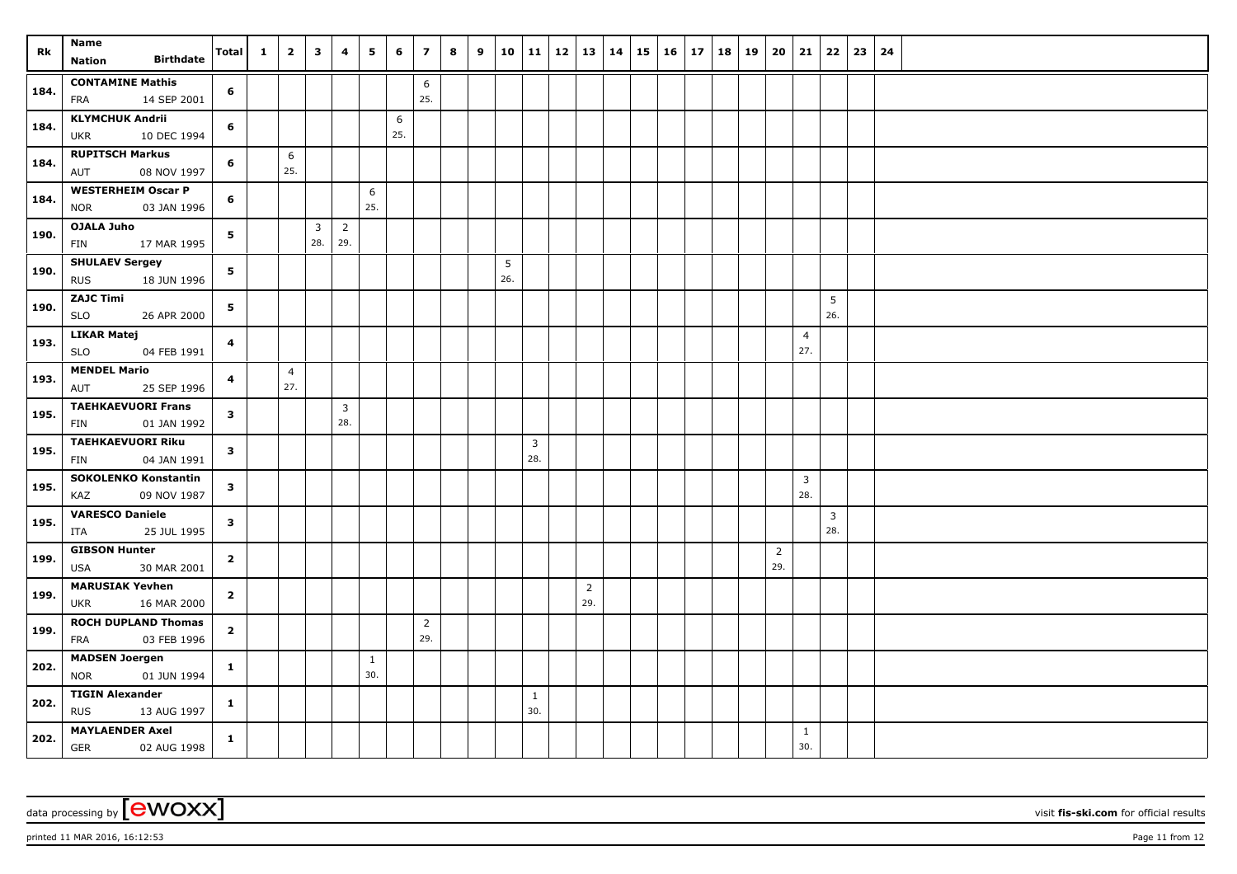| Rk   | Name                                                   | <b>Total</b> | $\mathbf{1}$ | $\overline{2}$        | $\mathbf{3}$                   | 4                     | 5                   | 6        | $\overline{z}$        | 8 | 9 | 10       | 11                  | 12   13   14 |                       | 15 | 16 17 | 18 | 19 | 20 21    |                       | 22                    | $23 \mid 24$ |  |
|------|--------------------------------------------------------|--------------|--------------|-----------------------|--------------------------------|-----------------------|---------------------|----------|-----------------------|---|---|----------|---------------------|--------------|-----------------------|----|-------|----|----|----------|-----------------------|-----------------------|--------------|--|
|      | <b>Birthdate</b><br><b>Nation</b>                      |              |              |                       |                                |                       |                     |          |                       |   |   |          |                     |              |                       |    |       |    |    |          |                       |                       |              |  |
| 184. | <b>CONTAMINE Mathis</b><br>14 SEP 2001<br>FRA          | 6            |              |                       |                                |                       |                     |          | 6<br>25.              |   |   |          |                     |              |                       |    |       |    |    |          |                       |                       |              |  |
| 184. | <b>KLYMCHUK Andrii</b><br>10 DEC 1994<br><b>UKR</b>    | 6            |              |                       |                                |                       |                     | 6<br>25. |                       |   |   |          |                     |              |                       |    |       |    |    |          |                       |                       |              |  |
| 184. | <b>RUPITSCH Markus</b><br>08 NOV 1997<br>AUT           | 6            |              | 6<br>25.              |                                |                       |                     |          |                       |   |   |          |                     |              |                       |    |       |    |    |          |                       |                       |              |  |
| 184. | <b>WESTERHEIM Oscar P</b><br><b>NOR</b><br>03 JAN 1996 | 6            |              |                       |                                |                       | 6<br>25.            |          |                       |   |   |          |                     |              |                       |    |       |    |    |          |                       |                       |              |  |
| 190. | <b>OJALA Juho</b><br>17 MAR 1995<br><b>FIN</b>         | 5            |              |                       | $\overline{\mathbf{3}}$<br>28. | $\overline{2}$<br>29. |                     |          |                       |   |   |          |                     |              |                       |    |       |    |    |          |                       |                       |              |  |
| 190. | <b>SHULAEV Sergey</b><br><b>RUS</b><br>18 JUN 1996     | 5            |              |                       |                                |                       |                     |          |                       |   |   | 5<br>26. |                     |              |                       |    |       |    |    |          |                       |                       |              |  |
| 190. | <b>ZAJC Timi</b><br>26 APR 2000<br><b>SLO</b>          | 5            |              |                       |                                |                       |                     |          |                       |   |   |          |                     |              |                       |    |       |    |    |          |                       | 5<br>26.              |              |  |
| 193. | <b>LIKAR Matej</b><br><b>SLO</b><br>04 FEB 1991        | 4            |              |                       |                                |                       |                     |          |                       |   |   |          |                     |              |                       |    |       |    |    |          | $\overline{4}$<br>27. |                       |              |  |
| 193. | <b>MENDEL Mario</b><br>25 SEP 1996<br>AUT              | 4            |              | $\overline{4}$<br>27. |                                |                       |                     |          |                       |   |   |          |                     |              |                       |    |       |    |    |          |                       |                       |              |  |
| 195. | <b>TAEHKAEVUORI Frans</b><br>01 JAN 1992<br>FIN        | $\mathbf{3}$ |              |                       |                                | $\mathbf{3}$<br>28.   |                     |          |                       |   |   |          |                     |              |                       |    |       |    |    |          |                       |                       |              |  |
| 195. | <b>TAEHKAEVUORI Riku</b><br>FIN<br>04 JAN 1991         | $\mathbf{3}$ |              |                       |                                |                       |                     |          |                       |   |   |          | 3<br>28.            |              |                       |    |       |    |    |          |                       |                       |              |  |
| 195. | <b>SOKOLENKO Konstantin</b><br>KAZ<br>09 NOV 1987      | $\mathbf{3}$ |              |                       |                                |                       |                     |          |                       |   |   |          |                     |              |                       |    |       |    |    |          | 3<br>28.              |                       |              |  |
| 195. | <b>VARESCO Daniele</b><br>25 JUL 1995<br>ITA           | $\mathbf{3}$ |              |                       |                                |                       |                     |          |                       |   |   |          |                     |              |                       |    |       |    |    |          |                       | $\overline{3}$<br>28. |              |  |
| 199. | <b>GIBSON Hunter</b><br>30 MAR 2001<br>USA             | $\mathbf{2}$ |              |                       |                                |                       |                     |          |                       |   |   |          |                     |              |                       |    |       |    |    | 2<br>29. |                       |                       |              |  |
| 199. | <b>MARUSIAK Yevhen</b><br>16 MAR 2000<br>UKR           | $\mathbf{2}$ |              |                       |                                |                       |                     |          |                       |   |   |          |                     |              | $\overline{2}$<br>29. |    |       |    |    |          |                       |                       |              |  |
| 199. | <b>ROCH DUPLAND Thomas</b><br>03 FEB 1996<br>FRA       | $\mathbf{2}$ |              |                       |                                |                       |                     |          | $\overline{2}$<br>29. |   |   |          |                     |              |                       |    |       |    |    |          |                       |                       |              |  |
| 202. | <b>MADSEN Joergen</b><br><b>NOR</b><br>01 JUN 1994     | $\mathbf{1}$ |              |                       |                                |                       | $\mathbf{1}$<br>30. |          |                       |   |   |          |                     |              |                       |    |       |    |    |          |                       |                       |              |  |
| 202. | <b>TIGIN Alexander</b><br><b>RUS</b><br>13 AUG 1997    | $\mathbf{1}$ |              |                       |                                |                       |                     |          |                       |   |   |          | $\mathbf{1}$<br>30. |              |                       |    |       |    |    |          |                       |                       |              |  |
| 202. | <b>MAYLAENDER Axel</b><br><b>GER</b><br>02 AUG 1998    | $\mathbf{1}$ |              |                       |                                |                       |                     |          |                       |   |   |          |                     |              |                       |    |       |    |    |          | $\mathbf{1}$<br>30.   |                       |              |  |

printed 11 MAR 2016, 16:12:53 Page 11 from 12